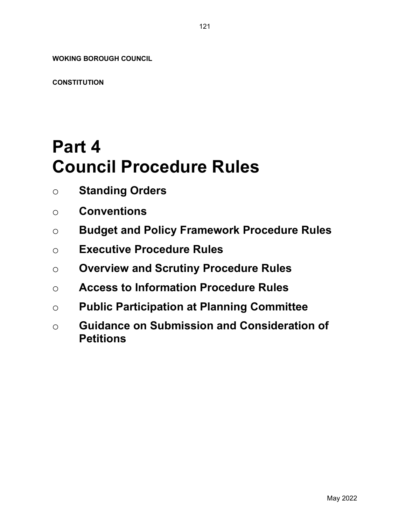WOKING BOROUGH COUNCIL

**CONSTITUTION** 

# Part 4 Council Procedure Rules

- o Standing Orders
- o Conventions
- o Budget and Policy Framework Procedure Rules
- o Executive Procedure Rules
- o Overview and Scrutiny Procedure Rules
- o Access to Information Procedure Rules
- o Public Participation at Planning Committee
- o Guidance on Submission and Consideration of **Petitions**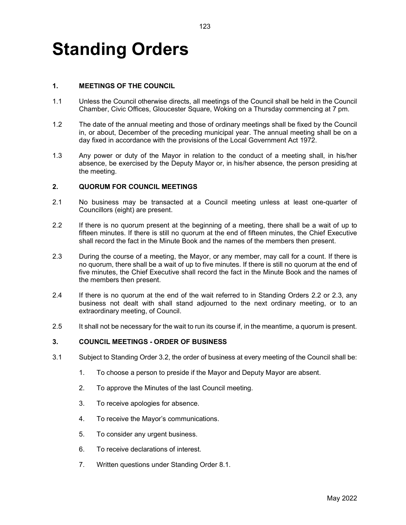# Standing Orders

# 1. MEETINGS OF THE COUNCIL

- 1.1 Unless the Council otherwise directs, all meetings of the Council shall be held in the Council Chamber, Civic Offices, Gloucester Square, Woking on a Thursday commencing at 7 pm.
- 1.2 The date of the annual meeting and those of ordinary meetings shall be fixed by the Council in, or about, December of the preceding municipal year. The annual meeting shall be on a day fixed in accordance with the provisions of the Local Government Act 1972.
- 1.3 Any power or duty of the Mayor in relation to the conduct of a meeting shall, in his/her absence, be exercised by the Deputy Mayor or, in his/her absence, the person presiding at the meeting.

#### 2. QUORUM FOR COUNCIL MEETINGS

- 2.1 No business may be transacted at a Council meeting unless at least one-quarter of Councillors (eight) are present.
- 2.2 If there is no quorum present at the beginning of a meeting, there shall be a wait of up to fifteen minutes. If there is still no quorum at the end of fifteen minutes, the Chief Executive shall record the fact in the Minute Book and the names of the members then present.
- 2.3 During the course of a meeting, the Mayor, or any member, may call for a count. If there is no quorum, there shall be a wait of up to five minutes. If there is still no quorum at the end of five minutes, the Chief Executive shall record the fact in the Minute Book and the names of the members then present.
- 2.4 If there is no quorum at the end of the wait referred to in Standing Orders 2.2 or 2.3, any business not dealt with shall stand adjourned to the next ordinary meeting, or to an extraordinary meeting, of Council.
- 2.5 It shall not be necessary for the wait to run its course if, in the meantime, a quorum is present.

#### 3. COUNCIL MEETINGS - ORDER OF BUSINESS

- 3.1 Subject to Standing Order 3.2, the order of business at every meeting of the Council shall be:
	- 1. To choose a person to preside if the Mayor and Deputy Mayor are absent.
	- 2. To approve the Minutes of the last Council meeting.
	- 3. To receive apologies for absence.
	- 4. To receive the Mayor's communications.
	- 5. To consider any urgent business.
	- 6. To receive declarations of interest.
	- 7. Written questions under Standing Order 8.1.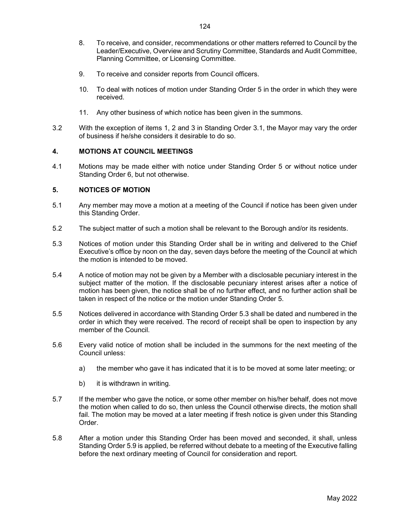- 8. To receive, and consider, recommendations or other matters referred to Council by the Leader/Executive, Overview and Scrutiny Committee, Standards and Audit Committee, Planning Committee, or Licensing Committee.
- 9. To receive and consider reports from Council officers.
- 10. To deal with notices of motion under Standing Order 5 in the order in which they were received.
- 11. Any other business of which notice has been given in the summons.
- 3.2 With the exception of items 1, 2 and 3 in Standing Order 3.1, the Mayor may vary the order of business if he/she considers it desirable to do so.

# 4. MOTIONS AT COUNCIL MEETINGS

4.1 Motions may be made either with notice under Standing Order 5 or without notice under Standing Order 6, but not otherwise.

# 5. NOTICES OF MOTION

- 5.1 Any member may move a motion at a meeting of the Council if notice has been given under this Standing Order.
- 5.2 The subject matter of such a motion shall be relevant to the Borough and/or its residents.
- 5.3 Notices of motion under this Standing Order shall be in writing and delivered to the Chief Executive's office by noon on the day, seven days before the meeting of the Council at which the motion is intended to be moved.
- 5.4 A notice of motion may not be given by a Member with a disclosable pecuniary interest in the subject matter of the motion. If the disclosable pecuniary interest arises after a notice of motion has been given, the notice shall be of no further effect, and no further action shall be taken in respect of the notice or the motion under Standing Order 5.
- 5.5 Notices delivered in accordance with Standing Order 5.3 shall be dated and numbered in the order in which they were received. The record of receipt shall be open to inspection by any member of the Council.
- 5.6 Every valid notice of motion shall be included in the summons for the next meeting of the Council unless:
	- a) the member who gave it has indicated that it is to be moved at some later meeting; or
	- b) it is withdrawn in writing.
- 5.7 If the member who gave the notice, or some other member on his/her behalf, does not move the motion when called to do so, then unless the Council otherwise directs, the motion shall fail. The motion may be moved at a later meeting if fresh notice is given under this Standing Order.
- 5.8 After a motion under this Standing Order has been moved and seconded, it shall, unless Standing Order 5.9 is applied, be referred without debate to a meeting of the Executive falling before the next ordinary meeting of Council for consideration and report.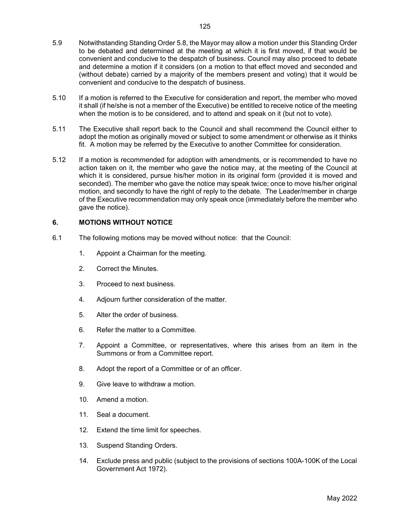- 5.9 Notwithstanding Standing Order 5.8, the Mayor may allow a motion under this Standing Order to be debated and determined at the meeting at which it is first moved, if that would be convenient and conducive to the despatch of business. Council may also proceed to debate and determine a motion if it considers (on a motion to that effect moved and seconded and (without debate) carried by a majority of the members present and voting) that it would be convenient and conducive to the despatch of business.
- 5.10 If a motion is referred to the Executive for consideration and report, the member who moved it shall (if he/she is not a member of the Executive) be entitled to receive notice of the meeting when the motion is to be considered, and to attend and speak on it (but not to vote).
- 5.11 The Executive shall report back to the Council and shall recommend the Council either to adopt the motion as originally moved or subject to some amendment or otherwise as it thinks fit. A motion may be referred by the Executive to another Committee for consideration.
- 5.12 If a motion is recommended for adoption with amendments, or is recommended to have no action taken on it, the member who gave the notice may, at the meeting of the Council at which it is considered, pursue his/her motion in its original form (provided it is moved and seconded). The member who gave the notice may speak twice; once to move his/her original motion, and secondly to have the right of reply to the debate. The Leader/member in charge of the Executive recommendation may only speak once (immediately before the member who gave the notice).

# 6. MOTIONS WITHOUT NOTICE

- 6.1 The following motions may be moved without notice: that the Council:
	- 1. Appoint a Chairman for the meeting.
	- 2. Correct the Minutes.
	- 3. Proceed to next business.
	- 4. Adjourn further consideration of the matter.
	- 5. Alter the order of business.
	- 6. Refer the matter to a Committee.
	- 7. Appoint a Committee, or representatives, where this arises from an item in the Summons or from a Committee report.
	- 8. Adopt the report of a Committee or of an officer.
	- 9. Give leave to withdraw a motion.
	- 10. Amend a motion.
	- 11. Seal a document.
	- 12. Extend the time limit for speeches.
	- 13. Suspend Standing Orders.
	- 14. Exclude press and public (subject to the provisions of sections 100A-100K of the Local Government Act 1972).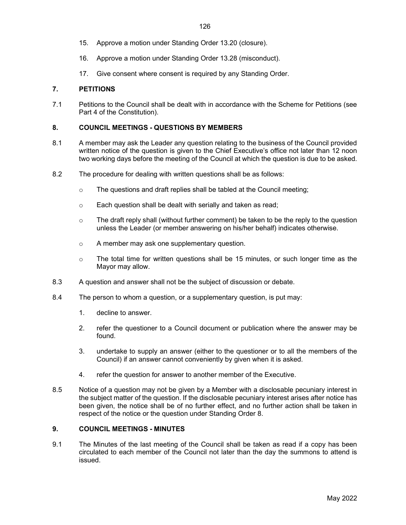- 15. Approve a motion under Standing Order 13.20 (closure).
- 16. Approve a motion under Standing Order 13.28 (misconduct).
- 17. Give consent where consent is required by any Standing Order.

# 7. PETITIONS

7.1 Petitions to the Council shall be dealt with in accordance with the Scheme for Petitions (see Part 4 of the Constitution).

#### 8. COUNCIL MEETINGS - QUESTIONS BY MEMBERS

- 8.1 A member may ask the Leader any question relating to the business of the Council provided written notice of the question is given to the Chief Executive's office not later than 12 noon two working days before the meeting of the Council at which the question is due to be asked.
- 8.2 The procedure for dealing with written questions shall be as follows:
	- o The questions and draft replies shall be tabled at the Council meeting;
	- o Each question shall be dealt with serially and taken as read;
	- $\circ$  The draft reply shall (without further comment) be taken to be the reply to the question unless the Leader (or member answering on his/her behalf) indicates otherwise.
	- o A member may ask one supplementary question.
	- $\circ$  The total time for written questions shall be 15 minutes, or such longer time as the Mayor may allow.
- 8.3 A question and answer shall not be the subject of discussion or debate.
- 8.4 The person to whom a question, or a supplementary question, is put may:
	- 1. decline to answer.
	- 2. refer the questioner to a Council document or publication where the answer may be found.
	- 3. undertake to supply an answer (either to the questioner or to all the members of the Council) if an answer cannot conveniently by given when it is asked.
	- 4. refer the question for answer to another member of the Executive.
- 8.5 Notice of a question may not be given by a Member with a disclosable pecuniary interest in the subject matter of the question. If the disclosable pecuniary interest arises after notice has been given, the notice shall be of no further effect, and no further action shall be taken in respect of the notice or the question under Standing Order 8.

#### 9. COUNCIL MEETINGS - MINUTES

9.1 The Minutes of the last meeting of the Council shall be taken as read if a copy has been circulated to each member of the Council not later than the day the summons to attend is issued.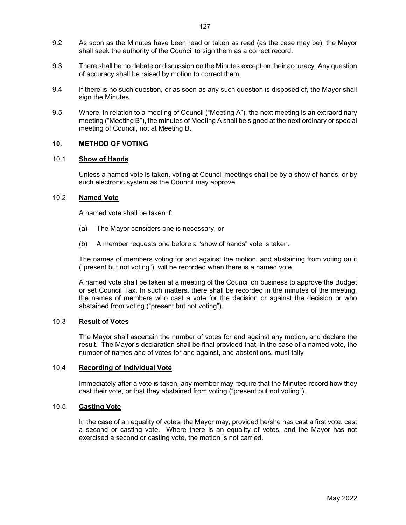- 9.2 As soon as the Minutes have been read or taken as read (as the case may be), the Mayor shall seek the authority of the Council to sign them as a correct record.
- 9.3 There shall be no debate or discussion on the Minutes except on their accuracy. Any question of accuracy shall be raised by motion to correct them.
- 9.4 If there is no such question, or as soon as any such question is disposed of, the Mayor shall sign the Minutes.
- 9.5 Where, in relation to a meeting of Council ("Meeting A"), the next meeting is an extraordinary meeting ("Meeting B"), the minutes of Meeting A shall be signed at the next ordinary or special meeting of Council, not at Meeting B.

#### 10. METHOD OF VOTING

#### 10.1 Show of Hands

Unless a named vote is taken, voting at Council meetings shall be by a show of hands, or by such electronic system as the Council may approve.

#### 10.2 Named Vote

A named vote shall be taken if:

- (a) The Mayor considers one is necessary, or
- (b) A member requests one before a "show of hands" vote is taken.

The names of members voting for and against the motion, and abstaining from voting on it ("present but not voting"), will be recorded when there is a named vote.

A named vote shall be taken at a meeting of the Council on business to approve the Budget or set Council Tax. In such matters, there shall be recorded in the minutes of the meeting, the names of members who cast a vote for the decision or against the decision or who abstained from voting ("present but not voting").

# 10.3 Result of Votes

The Mayor shall ascertain the number of votes for and against any motion, and declare the result. The Mayor's declaration shall be final provided that, in the case of a named vote, the number of names and of votes for and against, and abstentions, must tally

# 10.4 Recording of Individual Vote

Immediately after a vote is taken, any member may require that the Minutes record how they cast their vote, or that they abstained from voting ("present but not voting").

#### 10.5 Casting Vote

In the case of an equality of votes, the Mayor may, provided he/she has cast a first vote, cast a second or casting vote. Where there is an equality of votes, and the Mayor has not exercised a second or casting vote, the motion is not carried.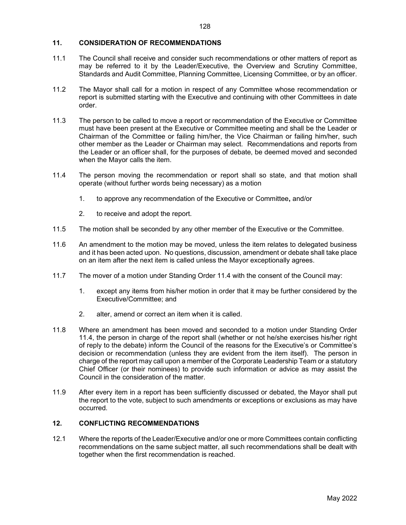# 11. CONSIDERATION OF RECOMMENDATIONS

- 11.1 The Council shall receive and consider such recommendations or other matters of report as may be referred to it by the Leader/Executive, the Overview and Scrutiny Committee, Standards and Audit Committee, Planning Committee, Licensing Committee, or by an officer.
- 11.2 The Mayor shall call for a motion in respect of any Committee whose recommendation or report is submitted starting with the Executive and continuing with other Committees in date order.
- 11.3 The person to be called to move a report or recommendation of the Executive or Committee must have been present at the Executive or Committee meeting and shall be the Leader or Chairman of the Committee or failing him/her, the Vice Chairman or failing him/her, such other member as the Leader or Chairman may select. Recommendations and reports from the Leader or an officer shall, for the purposes of debate, be deemed moved and seconded when the Mayor calls the item.
- 11.4 The person moving the recommendation or report shall so state, and that motion shall operate (without further words being necessary) as a motion
	- 1. to approve any recommendation of the Executive or Committee, and/or
	- 2. to receive and adopt the report.
- 11.5 The motion shall be seconded by any other member of the Executive or the Committee.
- 11.6 An amendment to the motion may be moved, unless the item relates to delegated business and it has been acted upon. No questions, discussion, amendment or debate shall take place on an item after the next item is called unless the Mayor exceptionally agrees.
- 11.7 The mover of a motion under Standing Order 11.4 with the consent of the Council may:
	- 1. except any items from his/her motion in order that it may be further considered by the Executive/Committee; and
	- 2. alter, amend or correct an item when it is called.
- 11.8 Where an amendment has been moved and seconded to a motion under Standing Order 11.4, the person in charge of the report shall (whether or not he/she exercises his/her right of reply to the debate) inform the Council of the reasons for the Executive's or Committee's decision or recommendation (unless they are evident from the item itself). The person in charge of the report may call upon a member of the Corporate Leadership Team or a statutory Chief Officer (or their nominees) to provide such information or advice as may assist the Council in the consideration of the matter.
- 11.9 After every item in a report has been sufficiently discussed or debated, the Mayor shall put the report to the vote, subject to such amendments or exceptions or exclusions as may have occurred.

# 12. CONFLICTING RECOMMENDATIONS

12.1 Where the reports of the Leader/Executive and/or one or more Committees contain conflicting recommendations on the same subject matter, all such recommendations shall be dealt with together when the first recommendation is reached.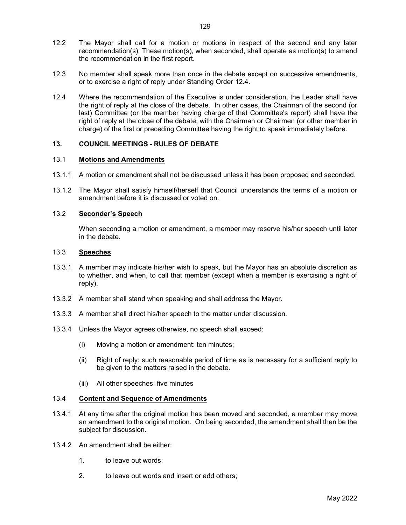- 12.2 The Mayor shall call for a motion or motions in respect of the second and any later recommendation(s). These motion(s), when seconded, shall operate as motion(s) to amend the recommendation in the first report.
- 12.3 No member shall speak more than once in the debate except on successive amendments, or to exercise a right of reply under Standing Order 12.4.
- 12.4 Where the recommendation of the Executive is under consideration, the Leader shall have the right of reply at the close of the debate. In other cases, the Chairman of the second (or last) Committee (or the member having charge of that Committee's report) shall have the right of reply at the close of the debate, with the Chairman or Chairmen (or other member in charge) of the first or preceding Committee having the right to speak immediately before.

# 13. COUNCIL MEETINGS - RULES OF DEBATE

# 13.1 Motions and Amendments

- 13.1.1 A motion or amendment shall not be discussed unless it has been proposed and seconded.
- 13.1.2 The Mayor shall satisfy himself/herself that Council understands the terms of a motion or amendment before it is discussed or voted on.

## 13.2 Seconder's Speech

 When seconding a motion or amendment, a member may reserve his/her speech until later in the debate.

#### 13.3 Speeches

- 13.3.1 A member may indicate his/her wish to speak, but the Mayor has an absolute discretion as to whether, and when, to call that member (except when a member is exercising a right of reply).
- 13.3.2 A member shall stand when speaking and shall address the Mayor.
- 13.3.3 A member shall direct his/her speech to the matter under discussion.
- 13.3.4 Unless the Mayor agrees otherwise, no speech shall exceed:
	- (i) Moving a motion or amendment: ten minutes;
	- (ii) Right of reply: such reasonable period of time as is necessary for a sufficient reply to be given to the matters raised in the debate.
	- (iii) All other speeches: five minutes

#### 13.4 Content and Sequence of Amendments

- 13.4.1 At any time after the original motion has been moved and seconded, a member may move an amendment to the original motion. On being seconded, the amendment shall then be the subject for discussion.
- 13.4.2 An amendment shall be either:
	- 1. to leave out words;
	- 2. to leave out words and insert or add others;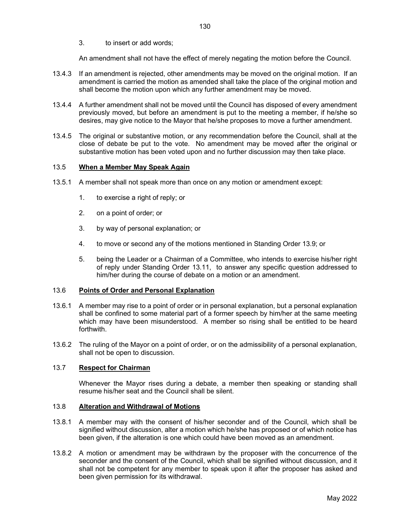3. to insert or add words;

An amendment shall not have the effect of merely negating the motion before the Council.

- 13.4.3 If an amendment is rejected, other amendments may be moved on the original motion. If an amendment is carried the motion as amended shall take the place of the original motion and shall become the motion upon which any further amendment may be moved.
- 13.4.4 A further amendment shall not be moved until the Council has disposed of every amendment previously moved, but before an amendment is put to the meeting a member, if he/she so desires, may give notice to the Mayor that he/she proposes to move a further amendment.
- 13.4.5 The original or substantive motion, or any recommendation before the Council, shall at the close of debate be put to the vote. No amendment may be moved after the original or substantive motion has been voted upon and no further discussion may then take place.

#### 13.5 When a Member May Speak Again

- 13.5.1 A member shall not speak more than once on any motion or amendment except:
	- 1. to exercise a right of reply; or
	- 2. on a point of order; or
	- 3. by way of personal explanation; or
	- 4. to move or second any of the motions mentioned in Standing Order 13.9; or
	- 5. being the Leader or a Chairman of a Committee, who intends to exercise his/her right of reply under Standing Order 13.11, to answer any specific question addressed to him/her during the course of debate on a motion or an amendment.

#### 13.6 Points of Order and Personal Explanation

- 13.6.1 A member may rise to a point of order or in personal explanation, but a personal explanation shall be confined to some material part of a former speech by him/her at the same meeting which may have been misunderstood. A member so rising shall be entitled to be heard forthwith.
- 13.6.2 The ruling of the Mayor on a point of order, or on the admissibility of a personal explanation, shall not be open to discussion.

# 13.7 Respect for Chairman

 Whenever the Mayor rises during a debate, a member then speaking or standing shall resume his/her seat and the Council shall be silent.

#### 13.8 Alteration and Withdrawal of Motions

- 13.8.1 A member may with the consent of his/her seconder and of the Council, which shall be signified without discussion, alter a motion which he/she has proposed or of which notice has been given, if the alteration is one which could have been moved as an amendment.
- 13.8.2 A motion or amendment may be withdrawn by the proposer with the concurrence of the seconder and the consent of the Council, which shall be signified without discussion, and it shall not be competent for any member to speak upon it after the proposer has asked and been given permission for its withdrawal.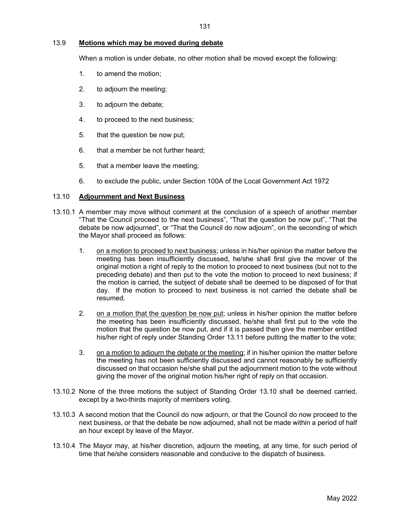## 13.9 Motions which may be moved during debate

When a motion is under debate, no other motion shall be moved except the following:

- 1. to amend the motion;
- 2. to adjourn the meeting;
- 3. to adjourn the debate;
- 4. to proceed to the next business;
- 5. that the question be now put;
- 6. that a member be not further heard;
- 5. that a member leave the meeting;
- 6. to exclude the public, under Section 100A of the Local Government Act 1972

#### 13.10 Adjournment and Next Business

- 13.10.1 A member may move without comment at the conclusion of a speech of another member "That the Council proceed to the next business", "That the question be now put", "That the debate be now adjourned", or "That the Council do now adjourn", on the seconding of which the Mayor shall proceed as follows:
	- 1. on a motion to proceed to next business; unless in his/her opinion the matter before the meeting has been insufficiently discussed, he/she shall first give the mover of the original motion a right of reply to the motion to proceed to next business (but not to the preceding debate) and then put to the vote the motion to proceed to next business; if the motion is carried, the subject of debate shall be deemed to be disposed of for that day. If the motion to proceed to next business is not carried the debate shall be resumed.
	- 2. on a motion that the question be now put; unless in his/her opinion the matter before the meeting has been insufficiently discussed, he/she shall first put to the vote the motion that the question be now put, and if it is passed then give the member entitled his/her right of reply under Standing Order 13.11 before putting the matter to the vote;
	- 3. on a motion to adjourn the debate or the meeting; if in his/her opinion the matter before the meeting has not been sufficiently discussed and cannot reasonably be sufficiently discussed on that occasion he/she shall put the adjournment motion to the vote without giving the mover of the original motion his/her right of reply on that occasion.
- 13.10.2 None of the three motions the subject of Standing Order 13.10 shall be deemed carried, except by a two-thirds majority of members voting.
- 13.10.3 A second motion that the Council do now adjourn, or that the Council do now proceed to the next business, or that the debate be now adjourned, shall not be made within a period of half an hour except by leave of the Mayor.
- 13.10.4 The Mayor may, at his/her discretion, adjourn the meeting, at any time, for such period of time that he/she considers reasonable and conducive to the dispatch of business.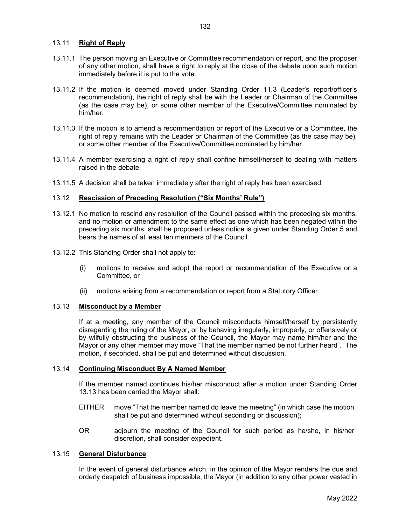## 13.11 Right of Reply

- 13.11.1 The person moving an Executive or Committee recommendation or report, and the proposer of any other motion, shall have a right to reply at the close of the debate upon such motion immediately before it is put to the vote.
- 13.11.2 If the motion is deemed moved under Standing Order 11.3 (Leader's report/officer's recommendation), the right of reply shall be with the Leader or Chairman of the Committee (as the case may be), or some other member of the Executive/Committee nominated by him/her.
- 13.11.3 If the motion is to amend a recommendation or report of the Executive or a Committee, the right of reply remains with the Leader or Chairman of the Committee (as the case may be), or some other member of the Executive/Committee nominated by him/her.
- 13.11.4 A member exercising a right of reply shall confine himself/herself to dealing with matters raised in the debate.
- 13.11.5 A decision shall be taken immediately after the right of reply has been exercised.

#### 13.12 Rescission of Preceding Resolution ("Six Months' Rule")

- 13.12.1 No motion to rescind any resolution of the Council passed within the preceding six months, and no motion or amendment to the same effect as one which has been negated within the preceding six months, shall be proposed unless notice is given under Standing Order 5 and bears the names of at least ten members of the Council.
- 13.12.2 This Standing Order shall not apply to:
	- (i) motions to receive and adopt the report or recommendation of the Executive or a Committee, or
	- (ii) motions arising from a recommendation or report from a Statutory Officer.

# 13.13 Misconduct by a Member

 If at a meeting, any member of the Council misconducts himself/herself by persistently disregarding the ruling of the Mayor, or by behaving irregularly, improperly, or offensively or by wilfully obstructing the business of the Council, the Mayor may name him/her and the Mayor or any other member may move "That the member named be not further heard". The motion, if seconded, shall be put and determined without discussion.

# 13.14 Continuing Misconduct By A Named Member

 If the member named continues his/her misconduct after a motion under Standing Order 13.13 has been carried the Mayor shall:

- EITHER move "That the member named do leave the meeting" (in which case the motion shall be put and determined without seconding or discussion);
- OR adjourn the meeting of the Council for such period as he/she, in his/her discretion, shall consider expedient.

#### 13.15 General Disturbance

 In the event of general disturbance which, in the opinion of the Mayor renders the due and orderly despatch of business impossible, the Mayor (in addition to any other power vested in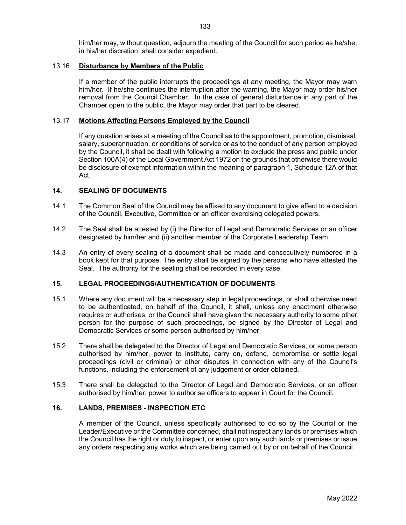him/her may, without question, adjourn the meeting of the Council for such period as he/she, in his/her discretion, shall consider expedient.

#### 13.16 Disturbance by Members of the Public

 If a member of the public interrupts the proceedings at any meeting, the Mayor may warn him/her. If he/she continues the interruption after the warning, the Mayor may order his/her removal from the Council Chamber. In the case of general disturbance in any part of the Chamber open to the public, the Mayor may order that part to be cleared.

#### 13.17 Motions Affecting Persons Employed by the Council

 If any question arises at a meeting of the Council as to the appointment, promotion, dismissal, salary, superannuation, or conditions of service or as to the conduct of any person employed by the Council, it shall be dealt with following a motion to exclude the press and public under Section 100A(4) of the Local Government Act 1972 on the grounds that otherwise there would be disclosure of exempt information within the meaning of paragraph 1, Schedule 12A of that Act.

#### 14. SEALING OF DOCUMENTS

- 14.1 The Common Seal of the Council may be affixed to any document to give effect to a decision of the Council, Executive, Committee or an officer exercising delegated powers.
- 14.2 The Seal shall be attested by (i) the Director of Legal and Democratic Services or an officer designated by him/her and (ii) another member of the Corporate Leadership Team.
- 14.3 An entry of every sealing of a document shall be made and consecutively numbered in a book kept for that purpose. The entry shall be signed by the persons who have attested the Seal. The authority for the sealing shall be recorded in every case.

#### 15. LEGAL PROCEEDINGS/AUTHENTICATION OF DOCUMENTS

- 15.1 Where any document will be a necessary step in legal proceedings, or shall otherwise need to be authenticated, on behalf of the Council, it shall, unless any enactment otherwise requires or authorises, or the Council shall have given the necessary authority to some other person for the purpose of such proceedings, be signed by the Director of Legal and Democratic Services or some person authorised by him/her.
- 15.2 There shall be delegated to the Director of Legal and Democratic Services, or some person authorised by him/her, power to institute, carry on, defend, compromise or settle legal proceedings (civil or criminal) or other disputes in connection with any of the Council's functions, including the enforcement of any judgement or order obtained.
- 15.3 There shall be delegated to the Director of Legal and Democratic Services, or an officer authorised by him/her, power to authorise officers to appear in Court for the Council.

# 16. LANDS, PREMISES - INSPECTION ETC

 A member of the Council, unless specifically authorised to do so by the Council or the Leader/Executive or the Committee concerned, shall not inspect any lands or premises which the Council has the right or duty to inspect, or enter upon any such lands or premises or issue any orders respecting any works which are being carried out by or on behalf of the Council.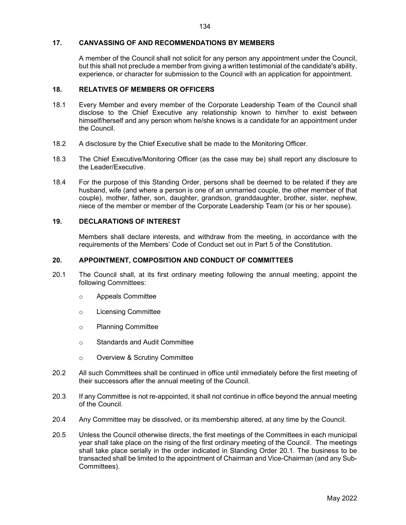#### 17. CANVASSING OF AND RECOMMENDATIONS BY MEMBERS

 A member of the Council shall not solicit for any person any appointment under the Council, but this shall not preclude a member from giving a written testimonial of the candidate's ability, experience, or character for submission to the Council with an application for appointment.

# 18. RELATIVES OF MEMBERS OR OFFICERS

- 18.1 Every Member and every member of the Corporate Leadership Team of the Council shall disclose to the Chief Executive any relationship known to him/her to exist between himself/herself and any person whom he/she knows is a candidate for an appointment under the Council.
- 18.2 A disclosure by the Chief Executive shall be made to the Monitoring Officer.
- 18.3 The Chief Executive/Monitoring Officer (as the case may be) shall report any disclosure to the Leader/Executive.
- 18.4 For the purpose of this Standing Order, persons shall be deemed to be related if they are husband, wife (and where a person is one of an unmarried couple, the other member of that couple), mother, father, son, daughter, grandson, granddaughter, brother, sister, nephew, niece of the member or member of the Corporate Leadership Team (or his or her spouse).

# 19. DECLARATIONS OF INTEREST

 Members shall declare interests, and withdraw from the meeting, in accordance with the requirements of the Members' Code of Conduct set out in Part 5 of the Constitution.

## 20. APPOINTMENT, COMPOSITION AND CONDUCT OF COMMITTEES

- 20.1 The Council shall, at its first ordinary meeting following the annual meeting, appoint the following Committees:
	- o Appeals Committee
	- o Licensing Committee
	- o Planning Committee
	- o Standards and Audit Committee
	- o Overview & Scrutiny Committee
- 20.2 All such Committees shall be continued in office until immediately before the first meeting of their successors after the annual meeting of the Council.
- 20.3 If any Committee is not re-appointed, it shall not continue in office beyond the annual meeting of the Council.
- 20.4 Any Committee may be dissolved, or its membership altered, at any time by the Council.
- 20.5 Unless the Council otherwise directs, the first meetings of the Committees in each municipal year shall take place on the rising of the first ordinary meeting of the Council. The meetings shall take place serially in the order indicated in Standing Order 20.1. The business to be transacted shall be limited to the appointment of Chairman and Vice-Chairman (and any Sub-Committees).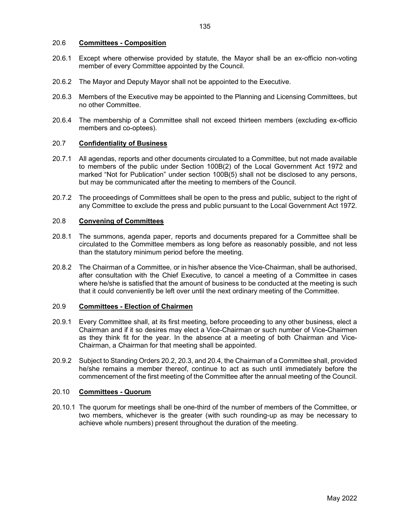#### 20.6 Committees - Composition

- 20.6.1 Except where otherwise provided by statute, the Mayor shall be an ex-officio non-voting member of every Committee appointed by the Council.
- 20.6.2 The Mayor and Deputy Mayor shall not be appointed to the Executive.
- 20.6.3 Members of the Executive may be appointed to the Planning and Licensing Committees, but no other Committee.
- 20.6.4 The membership of a Committee shall not exceed thirteen members (excluding ex-officio members and co-optees).

# 20.7 Confidentiality of Business

- 20.7.1 All agendas, reports and other documents circulated to a Committee, but not made available to members of the public under Section 100B(2) of the Local Government Act 1972 and marked "Not for Publication" under section 100B(5) shall not be disclosed to any persons, but may be communicated after the meeting to members of the Council.
- 20.7.2 The proceedings of Committees shall be open to the press and public, subject to the right of any Committee to exclude the press and public pursuant to the Local Government Act 1972.

#### 20.8 Convening of Committees

- 20.8.1 The summons, agenda paper, reports and documents prepared for a Committee shall be circulated to the Committee members as long before as reasonably possible, and not less than the statutory minimum period before the meeting.
- 20.8.2 The Chairman of a Committee, or in his/her absence the Vice-Chairman, shall be authorised, after consultation with the Chief Executive, to cancel a meeting of a Committee in cases where he/she is satisfied that the amount of business to be conducted at the meeting is such that it could conveniently be left over until the next ordinary meeting of the Committee.

# 20.9 Committees - Election of Chairmen

- 20.9.1 Every Committee shall, at its first meeting, before proceeding to any other business, elect a Chairman and if it so desires may elect a Vice-Chairman or such number of Vice-Chairmen as they think fit for the year. In the absence at a meeting of both Chairman and Vice-Chairman, a Chairman for that meeting shall be appointed.
- 20.9.2 Subject to Standing Orders 20.2, 20.3, and 20.4, the Chairman of a Committee shall, provided he/she remains a member thereof, continue to act as such until immediately before the commencement of the first meeting of the Committee after the annual meeting of the Council.

#### 20.10 Committees - Quorum

20.10.1 The quorum for meetings shall be one-third of the number of members of the Committee, or two members, whichever is the greater (with such rounding-up as may be necessary to achieve whole numbers) present throughout the duration of the meeting.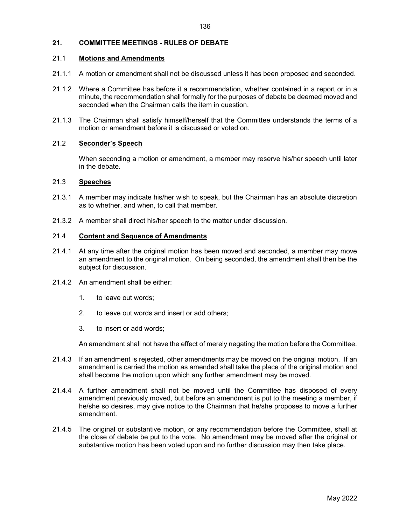# 21. COMMITTEE MEETINGS - RULES OF DEBATE

# 21.1 Motions and Amendments

- 21.1.1 A motion or amendment shall not be discussed unless it has been proposed and seconded.
- 21.1.2 Where a Committee has before it a recommendation, whether contained in a report or in a minute, the recommendation shall formally for the purposes of debate be deemed moved and seconded when the Chairman calls the item in question.
- 21.1.3 The Chairman shall satisfy himself/herself that the Committee understands the terms of a motion or amendment before it is discussed or voted on.

### 21.2 Seconder's Speech

 When seconding a motion or amendment, a member may reserve his/her speech until later in the debate.

# 21.3 Speeches

- 21.3.1 A member may indicate his/her wish to speak, but the Chairman has an absolute discretion as to whether, and when, to call that member.
- 21.3.2 A member shall direct his/her speech to the matter under discussion.

#### 21.4 Content and Sequence of Amendments

- 21.4.1 At any time after the original motion has been moved and seconded, a member may move an amendment to the original motion. On being seconded, the amendment shall then be the subject for discussion.
- 21.4.2 An amendment shall be either:
	- 1. to leave out words;
	- 2. to leave out words and insert or add others;
	- 3. to insert or add words;

An amendment shall not have the effect of merely negating the motion before the Committee.

- 21.4.3 If an amendment is rejected, other amendments may be moved on the original motion. If an amendment is carried the motion as amended shall take the place of the original motion and shall become the motion upon which any further amendment may be moved.
- 21.4.4 A further amendment shall not be moved until the Committee has disposed of every amendment previously moved, but before an amendment is put to the meeting a member, if he/she so desires, may give notice to the Chairman that he/she proposes to move a further amendment.
- 21.4.5 The original or substantive motion, or any recommendation before the Committee, shall at the close of debate be put to the vote. No amendment may be moved after the original or substantive motion has been voted upon and no further discussion may then take place.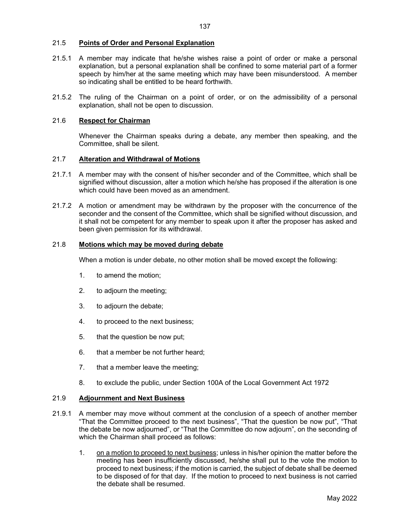# 21.5 Points of Order and Personal Explanation

- 21.5.1 A member may indicate that he/she wishes raise a point of order or make a personal explanation, but a personal explanation shall be confined to some material part of a former speech by him/her at the same meeting which may have been misunderstood. A member so indicating shall be entitled to be heard forthwith.
- 21.5.2 The ruling of the Chairman on a point of order, or on the admissibility of a personal explanation, shall not be open to discussion.

# 21.6 Respect for Chairman

 Whenever the Chairman speaks during a debate, any member then speaking, and the Committee, shall be silent.

#### 21.7 Alteration and Withdrawal of Motions

- 21.7.1 A member may with the consent of his/her seconder and of the Committee, which shall be signified without discussion, alter a motion which he/she has proposed if the alteration is one which could have been moved as an amendment.
- 21.7.2 A motion or amendment may be withdrawn by the proposer with the concurrence of the seconder and the consent of the Committee, which shall be signified without discussion, and it shall not be competent for any member to speak upon it after the proposer has asked and been given permission for its withdrawal.

# 21.8 Motions which may be moved during debate

When a motion is under debate, no other motion shall be moved except the following:

- 1. to amend the motion;
- 2. to adjourn the meeting;
- 3. to adjourn the debate;
- 4. to proceed to the next business;
- 5. that the question be now put;
- 6. that a member be not further heard;
- 7. that a member leave the meeting;
- 8. to exclude the public, under Section 100A of the Local Government Act 1972

# 21.9 Adjournment and Next Business

- 21.9.1 A member may move without comment at the conclusion of a speech of another member "That the Committee proceed to the next business", "That the question be now put", "That the debate be now adjourned", or "That the Committee do now adjourn", on the seconding of which the Chairman shall proceed as follows:
	- 1. on a motion to proceed to next business; unless in his/her opinion the matter before the meeting has been insufficiently discussed, he/she shall put to the vote the motion to proceed to next business; if the motion is carried, the subject of debate shall be deemed to be disposed of for that day. If the motion to proceed to next business is not carried the debate shall be resumed.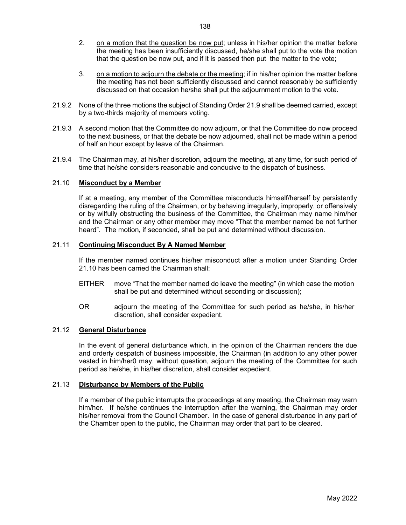- 2. on a motion that the question be now put; unless in his/her opinion the matter before the meeting has been insufficiently discussed, he/she shall put to the vote the motion that the question be now put, and if it is passed then put the matter to the vote;
- 3. on a motion to adjourn the debate or the meeting; if in his/her opinion the matter before the meeting has not been sufficiently discussed and cannot reasonably be sufficiently discussed on that occasion he/she shall put the adjournment motion to the vote.
- 21.9.2 None of the three motions the subject of Standing Order 21.9 shall be deemed carried, except by a two-thirds majority of members voting.
- 21.9.3 A second motion that the Committee do now adjourn, or that the Committee do now proceed to the next business, or that the debate be now adjourned, shall not be made within a period of half an hour except by leave of the Chairman.
- 21.9.4 The Chairman may, at his/her discretion, adjourn the meeting, at any time, for such period of time that he/she considers reasonable and conducive to the dispatch of business.

# 21.10 Misconduct by a Member

 If at a meeting, any member of the Committee misconducts himself/herself by persistently disregarding the ruling of the Chairman, or by behaving irregularly, improperly, or offensively or by wilfully obstructing the business of the Committee, the Chairman may name him/her and the Chairman or any other member may move "That the member named be not further heard". The motion, if seconded, shall be put and determined without discussion.

#### 21.11 Continuing Misconduct By A Named Member

 If the member named continues his/her misconduct after a motion under Standing Order 21.10 has been carried the Chairman shall:

- EITHER move "That the member named do leave the meeting" (in which case the motion shall be put and determined without seconding or discussion);
- OR adjourn the meeting of the Committee for such period as he/she, in his/her discretion, shall consider expedient.

#### 21.12 General Disturbance

 In the event of general disturbance which, in the opinion of the Chairman renders the due and orderly despatch of business impossible, the Chairman (in addition to any other power vested in him/her0 may, without question, adjourn the meeting of the Committee for such period as he/she, in his/her discretion, shall consider expedient.

#### 21.13 Disturbance by Members of the Public

 If a member of the public interrupts the proceedings at any meeting, the Chairman may warn him/her. If he/she continues the interruption after the warning, the Chairman may order his/her removal from the Council Chamber. In the case of general disturbance in any part of the Chamber open to the public, the Chairman may order that part to be cleared.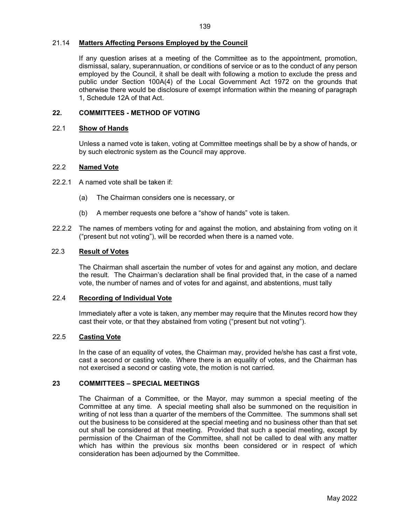#### 21.14 Matters Affecting Persons Employed by the Council

 If any question arises at a meeting of the Committee as to the appointment, promotion, dismissal, salary, superannuation, or conditions of service or as to the conduct of any person employed by the Council, it shall be dealt with following a motion to exclude the press and public under Section 100A(4) of the Local Government Act 1972 on the grounds that otherwise there would be disclosure of exempt information within the meaning of paragraph 1, Schedule 12A of that Act.

#### 22. COMMITTEES - METHOD OF VOTING

#### 22.1 Show of Hands

Unless a named vote is taken, voting at Committee meetings shall be by a show of hands, or by such electronic system as the Council may approve.

#### 22.2 Named Vote

- 22.2.1 A named vote shall be taken if:
	- (a) The Chairman considers one is necessary, or
	- (b) A member requests one before a "show of hands" vote is taken.
- 22.2.2 The names of members voting for and against the motion, and abstaining from voting on it ("present but not voting"), will be recorded when there is a named vote.

# 22.3 Result of Votes

The Chairman shall ascertain the number of votes for and against any motion, and declare the result. The Chairman's declaration shall be final provided that, in the case of a named vote, the number of names and of votes for and against, and abstentions, must tally

#### 22.4 Recording of Individual Vote

Immediately after a vote is taken, any member may require that the Minutes record how they cast their vote, or that they abstained from voting ("present but not voting").

# 22.5 Casting Vote

In the case of an equality of votes, the Chairman may, provided he/she has cast a first vote, cast a second or casting vote. Where there is an equality of votes, and the Chairman has not exercised a second or casting vote, the motion is not carried.

#### 23 COMMITTEES – SPECIAL MEETINGS

 The Chairman of a Committee, or the Mayor, may summon a special meeting of the Committee at any time. A special meeting shall also be summoned on the requisition in writing of not less than a quarter of the members of the Committee. The summons shall set out the business to be considered at the special meeting and no business other than that set out shall be considered at that meeting. Provided that such a special meeting, except by permission of the Chairman of the Committee, shall not be called to deal with any matter which has within the previous six months been considered or in respect of which consideration has been adjourned by the Committee.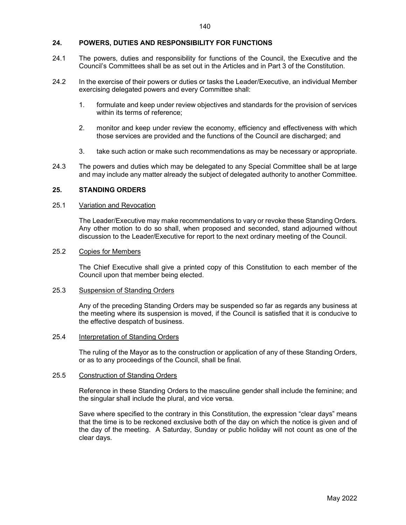#### 24. POWERS, DUTIES AND RESPONSIBILITY FOR FUNCTIONS

- 24.1 The powers, duties and responsibility for functions of the Council, the Executive and the Council's Committees shall be as set out in the Articles and in Part 3 of the Constitution.
- 24.2 In the exercise of their powers or duties or tasks the Leader/Executive, an individual Member exercising delegated powers and every Committee shall:
	- 1. formulate and keep under review objectives and standards for the provision of services within its terms of reference;
	- 2. monitor and keep under review the economy, efficiency and effectiveness with which those services are provided and the functions of the Council are discharged; and
	- 3. take such action or make such recommendations as may be necessary or appropriate.
- 24.3 The powers and duties which may be delegated to any Special Committee shall be at large and may include any matter already the subject of delegated authority to another Committee.

#### 25. STANDING ORDERS

# 25.1 Variation and Revocation

 The Leader/Executive may make recommendations to vary or revoke these Standing Orders. Any other motion to do so shall, when proposed and seconded, stand adjourned without discussion to the Leader/Executive for report to the next ordinary meeting of the Council.

#### 25.2 Copies for Members

 The Chief Executive shall give a printed copy of this Constitution to each member of the Council upon that member being elected.

#### 25.3 Suspension of Standing Orders

 Any of the preceding Standing Orders may be suspended so far as regards any business at the meeting where its suspension is moved, if the Council is satisfied that it is conducive to the effective despatch of business.

#### 25.4 Interpretation of Standing Orders

 The ruling of the Mayor as to the construction or application of any of these Standing Orders, or as to any proceedings of the Council, shall be final.

#### 25.5 Construction of Standing Orders

 Reference in these Standing Orders to the masculine gender shall include the feminine; and the singular shall include the plural, and vice versa.

 Save where specified to the contrary in this Constitution, the expression "clear days" means that the time is to be reckoned exclusive both of the day on which the notice is given and of the day of the meeting. A Saturday, Sunday or public holiday will not count as one of the clear days.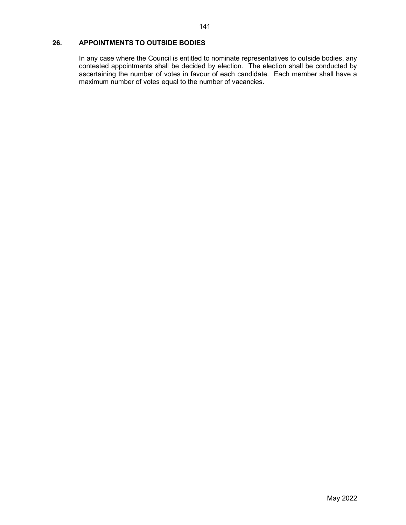# 26. APPOINTMENTS TO OUTSIDE BODIES

 In any case where the Council is entitled to nominate representatives to outside bodies, any contested appointments shall be decided by election. The election shall be conducted by ascertaining the number of votes in favour of each candidate. Each member shall have a maximum number of votes equal to the number of vacancies.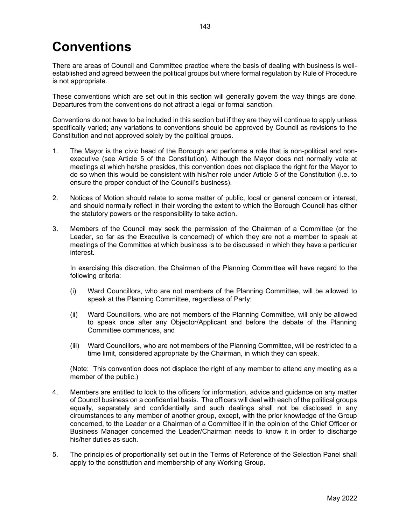# **Conventions**

There are areas of Council and Committee practice where the basis of dealing with business is wellestablished and agreed between the political groups but where formal regulation by Rule of Procedure is not appropriate.

These conventions which are set out in this section will generally govern the way things are done. Departures from the conventions do not attract a legal or formal sanction.

Conventions do not have to be included in this section but if they are they will continue to apply unless specifically varied; any variations to conventions should be approved by Council as revisions to the Constitution and not approved solely by the political groups.

- 1. The Mayor is the civic head of the Borough and performs a role that is non-political and nonexecutive (see Article 5 of the Constitution). Although the Mayor does not normally vote at meetings at which he/she presides, this convention does not displace the right for the Mayor to do so when this would be consistent with his/her role under Article 5 of the Constitution (i.e. to ensure the proper conduct of the Council's business).
- 2. Notices of Motion should relate to some matter of public, local or general concern or interest, and should normally reflect in their wording the extent to which the Borough Council has either the statutory powers or the responsibility to take action.
- 3. Members of the Council may seek the permission of the Chairman of a Committee (or the Leader, so far as the Executive is concerned) of which they are not a member to speak at meetings of the Committee at which business is to be discussed in which they have a particular interest.

In exercising this discretion, the Chairman of the Planning Committee will have regard to the following criteria:

- (i) Ward Councillors, who are not members of the Planning Committee, will be allowed to speak at the Planning Committee, regardless of Party;
- (ii) Ward Councillors, who are not members of the Planning Committee, will only be allowed to speak once after any Objector/Applicant and before the debate of the Planning Committee commences, and
- (iii) Ward Councillors, who are not members of the Planning Committee, will be restricted to a time limit, considered appropriate by the Chairman, in which they can speak.

 (Note: This convention does not displace the right of any member to attend any meeting as a member of the public.)

- 4. Members are entitled to look to the officers for information, advice and guidance on any matter of Council business on a confidential basis. The officers will deal with each of the political groups equally, separately and confidentially and such dealings shall not be disclosed in any circumstances to any member of another group, except, with the prior knowledge of the Group concerned, to the Leader or a Chairman of a Committee if in the opinion of the Chief Officer or Business Manager concerned the Leader/Chairman needs to know it in order to discharge his/her duties as such.
- 5. The principles of proportionality set out in the Terms of Reference of the Selection Panel shall apply to the constitution and membership of any Working Group.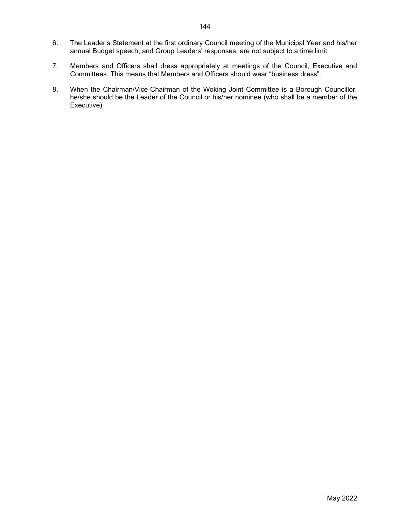- 6. The Leader's Statement at the first ordinary Council meeting of the Municipal Year and his/her annual Budget speech, and Group Leaders' responses, are not subject to a time limit.
- 7. Members and Officers shall dress appropriately at meetings of the Council, Executive and Committees. This means that Members and Officers should wear "business dress".
- 8. When the Chairman/Vice-Chairman of the Woking Joint Committee is a Borough Councillor, he/she should be the Leader of the Council or his/her nominee (who shall be a member of the Executive).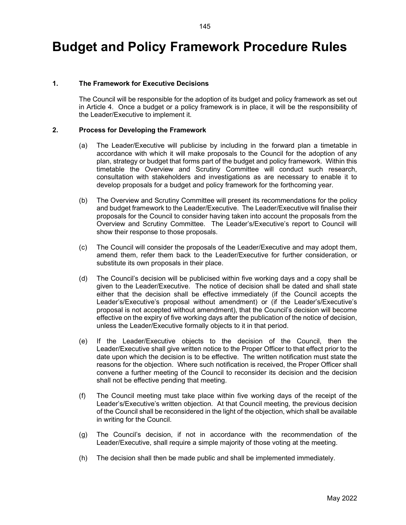# Budget and Policy Framework Procedure Rules

# 1. The Framework for Executive Decisions

 The Council will be responsible for the adoption of its budget and policy framework as set out in Article 4. Once a budget or a policy framework is in place, it will be the responsibility of the Leader/Executive to implement it.

#### 2. Process for Developing the Framework

- (a) The Leader/Executive will publicise by including in the forward plan a timetable in accordance with which it will make proposals to the Council for the adoption of any plan, strategy or budget that forms part of the budget and policy framework. Within this timetable the Overview and Scrutiny Committee will conduct such research, consultation with stakeholders and investigations as are necessary to enable it to develop proposals for a budget and policy framework for the forthcoming year.
- (b) The Overview and Scrutiny Committee will present its recommendations for the policy and budget framework to the Leader/Executive. The Leader/Executive will finalise their proposals for the Council to consider having taken into account the proposals from the Overview and Scrutiny Committee. The Leader's/Executive's report to Council will show their response to those proposals.
- (c) The Council will consider the proposals of the Leader/Executive and may adopt them, amend them, refer them back to the Leader/Executive for further consideration, or substitute its own proposals in their place.
- (d) The Council's decision will be publicised within five working days and a copy shall be given to the Leader/Executive. The notice of decision shall be dated and shall state either that the decision shall be effective immediately (if the Council accepts the Leader's/Executive's proposal without amendment) or (if the Leader's/Executive's proposal is not accepted without amendment), that the Council's decision will become effective on the expiry of five working days after the publication of the notice of decision, unless the Leader/Executive formally objects to it in that period.
- (e) If the Leader/Executive objects to the decision of the Council, then the Leader/Executive shall give written notice to the Proper Officer to that effect prior to the date upon which the decision is to be effective. The written notification must state the reasons for the objection. Where such notification is received, the Proper Officer shall convene a further meeting of the Council to reconsider its decision and the decision shall not be effective pending that meeting.
- (f) The Council meeting must take place within five working days of the receipt of the Leader's/Executive's written objection. At that Council meeting, the previous decision of the Council shall be reconsidered in the light of the objection, which shall be available in writing for the Council.
- (g) The Council's decision, if not in accordance with the recommendation of the Leader/Executive, shall require a simple majority of those voting at the meeting.
- (h) The decision shall then be made public and shall be implemented immediately.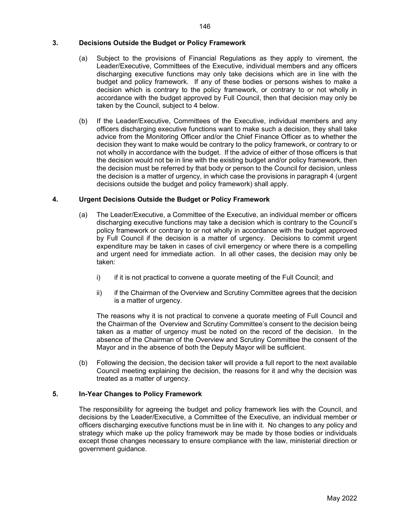## 3. Decisions Outside the Budget or Policy Framework

- (a) Subject to the provisions of Financial Regulations as they apply to virement, the Leader/Executive, Committees of the Executive, individual members and any officers discharging executive functions may only take decisions which are in line with the budget and policy framework. If any of these bodies or persons wishes to make a decision which is contrary to the policy framework, or contrary to or not wholly in accordance with the budget approved by Full Council, then that decision may only be taken by the Council, subject to 4 below.
- (b) If the Leader/Executive, Committees of the Executive, individual members and any officers discharging executive functions want to make such a decision, they shall take advice from the Monitoring Officer and/or the Chief Finance Officer as to whether the decision they want to make would be contrary to the policy framework, or contrary to or not wholly in accordance with the budget. If the advice of either of those officers is that the decision would not be in line with the existing budget and/or policy framework, then the decision must be referred by that body or person to the Council for decision, unless the decision is a matter of urgency, in which case the provisions in paragraph 4 (urgent decisions outside the budget and policy framework) shall apply.

# 4. Urgent Decisions Outside the Budget or Policy Framework

- (a) The Leader/Executive, a Committee of the Executive, an individual member or officers discharging executive functions may take a decision which is contrary to the Council's policy framework or contrary to or not wholly in accordance with the budget approved by Full Council if the decision is a matter of urgency. Decisions to commit urgent expenditure may be taken in cases of civil emergency or where there is a compelling and urgent need for immediate action. In all other cases, the decision may only be taken:
	- i) if it is not practical to convene a quorate meeting of the Full Council; and
	- ii) if the Chairman of the Overview and Scrutiny Committee agrees that the decision is a matter of urgency.

The reasons why it is not practical to convene a quorate meeting of Full Council and the Chairman of the Overview and Scrutiny Committee's consent to the decision being taken as a matter of urgency must be noted on the record of the decision. In the absence of the Chairman of the Overview and Scrutiny Committee the consent of the Mayor and in the absence of both the Deputy Mayor will be sufficient.

(b) Following the decision, the decision taker will provide a full report to the next available Council meeting explaining the decision, the reasons for it and why the decision was treated as a matter of urgency.

# 5. In-Year Changes to Policy Framework

The responsibility for agreeing the budget and policy framework lies with the Council, and decisions by the Leader/Executive, a Committee of the Executive, an individual member or officers discharging executive functions must be in line with it. No changes to any policy and strategy which make up the policy framework may be made by those bodies or individuals except those changes necessary to ensure compliance with the law, ministerial direction or government guidance.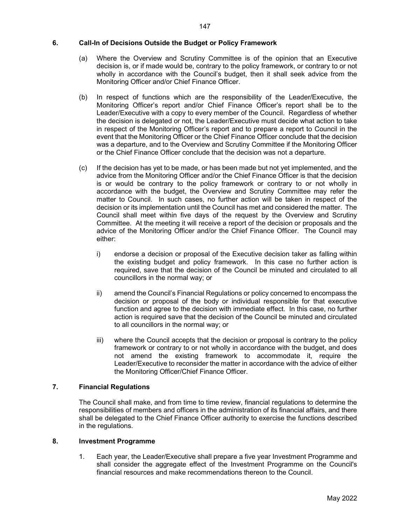## 6. Call-In of Decisions Outside the Budget or Policy Framework

- (a) Where the Overview and Scrutiny Committee is of the opinion that an Executive decision is, or if made would be, contrary to the policy framework, or contrary to or not wholly in accordance with the Council's budget, then it shall seek advice from the Monitoring Officer and/or Chief Finance Officer.
- (b) In respect of functions which are the responsibility of the Leader/Executive, the Monitoring Officer's report and/or Chief Finance Officer's report shall be to the Leader/Executive with a copy to every member of the Council. Regardless of whether the decision is delegated or not, the Leader/Executive must decide what action to take in respect of the Monitoring Officer's report and to prepare a report to Council in the event that the Monitoring Officer or the Chief Finance Officer conclude that the decision was a departure, and to the Overview and Scrutiny Committee if the Monitoring Officer or the Chief Finance Officer conclude that the decision was not a departure.
- (c) If the decision has yet to be made, or has been made but not yet implemented, and the advice from the Monitoring Officer and/or the Chief Finance Officer is that the decision is or would be contrary to the policy framework or contrary to or not wholly in accordance with the budget, the Overview and Scrutiny Committee may refer the matter to Council. In such cases, no further action will be taken in respect of the decision or its implementation until the Council has met and considered the matter. The Council shall meet within five days of the request by the Overview and Scrutiny Committee. At the meeting it will receive a report of the decision or proposals and the advice of the Monitoring Officer and/or the Chief Finance Officer. The Council may either:
	- i) endorse a decision or proposal of the Executive decision taker as falling within the existing budget and policy framework. In this case no further action is required, save that the decision of the Council be minuted and circulated to all councillors in the normal way; or
	- ii) amend the Council's Financial Regulations or policy concerned to encompass the decision or proposal of the body or individual responsible for that executive function and agree to the decision with immediate effect. In this case, no further action is required save that the decision of the Council be minuted and circulated to all councillors in the normal way; or
	- iii) where the Council accepts that the decision or proposal is contrary to the policy framework or contrary to or not wholly in accordance with the budget, and does not amend the existing framework to accommodate it, require the Leader/Executive to reconsider the matter in accordance with the advice of either the Monitoring Officer/Chief Finance Officer.

# 7. Financial Regulations

The Council shall make, and from time to time review, financial regulations to determine the responsibilities of members and officers in the administration of its financial affairs, and there shall be delegated to the Chief Finance Officer authority to exercise the functions described in the regulations.

# 8. Investment Programme

1. Each year, the Leader/Executive shall prepare a five year Investment Programme and shall consider the aggregate effect of the Investment Programme on the Council's financial resources and make recommendations thereon to the Council.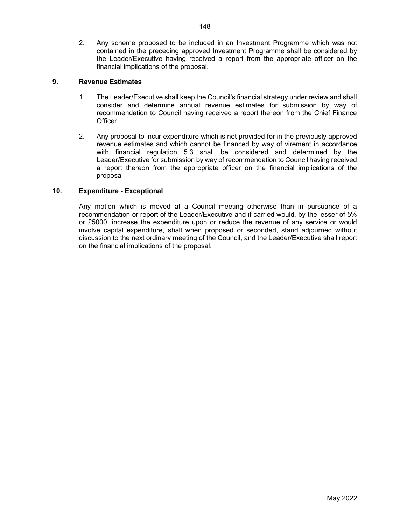2. Any scheme proposed to be included in an Investment Programme which was not contained in the preceding approved Investment Programme shall be considered by the Leader/Executive having received a report from the appropriate officer on the financial implications of the proposal.

# 9. Revenue Estimates

- 1. The Leader/Executive shall keep the Council's financial strategy under review and shall consider and determine annual revenue estimates for submission by way of recommendation to Council having received a report thereon from the Chief Finance Officer.
- 2. Any proposal to incur expenditure which is not provided for in the previously approved revenue estimates and which cannot be financed by way of virement in accordance with financial regulation 5.3 shall be considered and determined by the Leader/Executive for submission by way of recommendation to Council having received a report thereon from the appropriate officer on the financial implications of the proposal.

# 10. Expenditure - Exceptional

Any motion which is moved at a Council meeting otherwise than in pursuance of a recommendation or report of the Leader/Executive and if carried would, by the lesser of 5% or £5000, increase the expenditure upon or reduce the revenue of any service or would involve capital expenditure, shall when proposed or seconded, stand adjourned without discussion to the next ordinary meeting of the Council, and the Leader/Executive shall report on the financial implications of the proposal.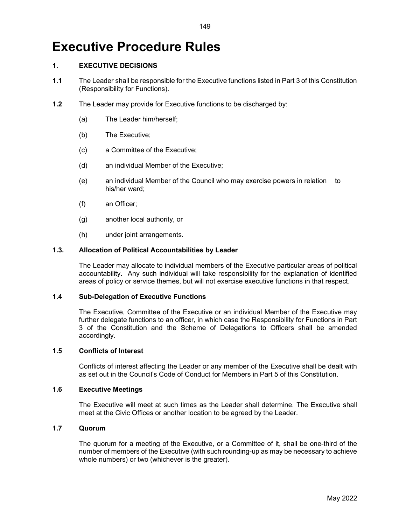# Executive Procedure Rules

# 1. EXECUTIVE DECISIONS

- 1.1 The Leader shall be responsible for the Executive functions listed in Part 3 of this Constitution (Responsibility for Functions).
- 1.2 The Leader may provide for Executive functions to be discharged by:
	- (a) The Leader him/herself;
	- (b) The Executive;
	- (c) a Committee of the Executive;
	- (d) an individual Member of the Executive;
	- (e) an individual Member of the Council who may exercise powers in relation to his/her ward;
	- (f) an Officer;
	- (g) another local authority, or
	- (h) under joint arrangements.

# 1.3. Allocation of Political Accountabilities by Leader

 The Leader may allocate to individual members of the Executive particular areas of political accountability. Any such individual will take responsibility for the explanation of identified areas of policy or service themes, but will not exercise executive functions in that respect.

# 1.4 Sub-Delegation of Executive Functions

 The Executive, Committee of the Executive or an individual Member of the Executive may further delegate functions to an officer, in which case the Responsibility for Functions in Part 3 of the Constitution and the Scheme of Delegations to Officers shall be amended accordingly.

# 1.5 Conflicts of Interest

 Conflicts of interest affecting the Leader or any member of the Executive shall be dealt with as set out in the Council's Code of Conduct for Members in Part 5 of this Constitution.

#### 1.6 Executive Meetings

 The Executive will meet at such times as the Leader shall determine. The Executive shall meet at the Civic Offices or another location to be agreed by the Leader.

# 1.7 Quorum

 The quorum for a meeting of the Executive, or a Committee of it, shall be one-third of the number of members of the Executive (with such rounding-up as may be necessary to achieve whole numbers) or two (whichever is the greater).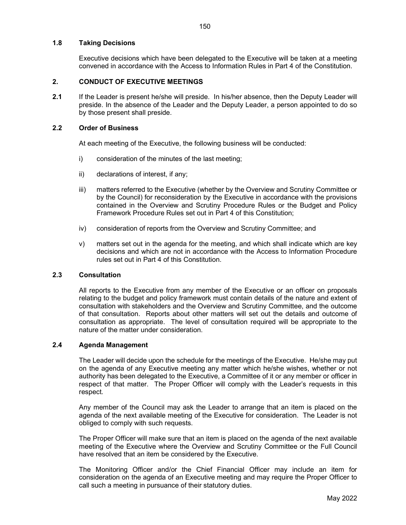#### 1.8 Taking Decisions

 Executive decisions which have been delegated to the Executive will be taken at a meeting convened in accordance with the Access to Information Rules in Part 4 of the Constitution.

# 2. CONDUCT OF EXECUTIVE MEETINGS

2.1 If the Leader is present he/she will preside. In his/her absence, then the Deputy Leader will preside. In the absence of the Leader and the Deputy Leader, a person appointed to do so by those present shall preside.

#### 2.2 Order of Business

At each meeting of the Executive, the following business will be conducted:

- i) consideration of the minutes of the last meeting;
- ii) declarations of interest, if any;
- iii) matters referred to the Executive (whether by the Overview and Scrutiny Committee or by the Council) for reconsideration by the Executive in accordance with the provisions contained in the Overview and Scrutiny Procedure Rules or the Budget and Policy Framework Procedure Rules set out in Part 4 of this Constitution;
- iv) consideration of reports from the Overview and Scrutiny Committee; and
- v) matters set out in the agenda for the meeting, and which shall indicate which are key decisions and which are not in accordance with the Access to Information Procedure rules set out in Part 4 of this Constitution.

#### 2.3 Consultation

 All reports to the Executive from any member of the Executive or an officer on proposals relating to the budget and policy framework must contain details of the nature and extent of consultation with stakeholders and the Overview and Scrutiny Committee, and the outcome of that consultation. Reports about other matters will set out the details and outcome of consultation as appropriate. The level of consultation required will be appropriate to the nature of the matter under consideration.

#### 2.4 Agenda Management

 The Leader will decide upon the schedule for the meetings of the Executive. He/she may put on the agenda of any Executive meeting any matter which he/she wishes, whether or not authority has been delegated to the Executive, a Committee of it or any member or officer in respect of that matter. The Proper Officer will comply with the Leader's requests in this respect.

 Any member of the Council may ask the Leader to arrange that an item is placed on the agenda of the next available meeting of the Executive for consideration. The Leader is not obliged to comply with such requests.

 The Proper Officer will make sure that an item is placed on the agenda of the next available meeting of the Executive where the Overview and Scrutiny Committee or the Full Council have resolved that an item be considered by the Executive.

The Monitoring Officer and/or the Chief Financial Officer may include an item for consideration on the agenda of an Executive meeting and may require the Proper Officer to call such a meeting in pursuance of their statutory duties.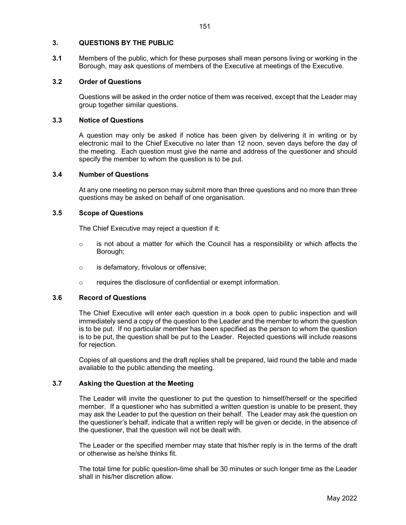# 3. QUESTIONS BY THE PUBLIC

3.1 Members of the public, which for these purposes shall mean persons living or working in the Borough, may ask questions of members of the Executive at meetings of the Executive.

# 3.2 Order of Questions

 Questions will be asked in the order notice of them was received, except that the Leader may group together similar questions.

# 3.3 Notice of Questions

 A question may only be asked if notice has been given by delivering it in writing or by electronic mail to the Chief Executive no later than 12 noon, seven days before the day of the meeting. Each question must give the name and address of the questioner and should specify the member to whom the question is to be put.

# 3.4 Number of Questions

 At any one meeting no person may submit more than three questions and no more than three questions may be asked on behalf of one organisation.

### 3.5 Scope of Questions

The Chief Executive may reject a question if it:

- o is not about a matter for which the Council has a responsibility or which affects the Borough;
- o is defamatory, frivolous or offensive;
- o requires the disclosure of confidential or exempt information.

#### 3.6 Record of Questions

 The Chief Executive will enter each question in a book open to public inspection and will immediately send a copy of the question to the Leader and the member to whom the question is to be put. If no particular member has been specified as the person to whom the question is to be put, the question shall be put to the Leader. Rejected questions will include reasons for rejection.

 Copies of all questions and the draft replies shall be prepared, laid round the table and made available to the public attending the meeting.

#### 3.7 Asking the Question at the Meeting

 The Leader will invite the questioner to put the question to himself/herself or the specified member. If a questioner who has submitted a written question is unable to be present, they may ask the Leader to put the question on their behalf. The Leader may ask the question on the questioner's behalf, indicate that a written reply will be given or decide, in the absence of the questioner, that the question will not be dealt with.

 The Leader or the specified member may state that his/her reply is in the terms of the draft or otherwise as he/she thinks fit.

 The total time for public question-time shall be 30 minutes or such longer time as the Leader shall in his/her discretion allow.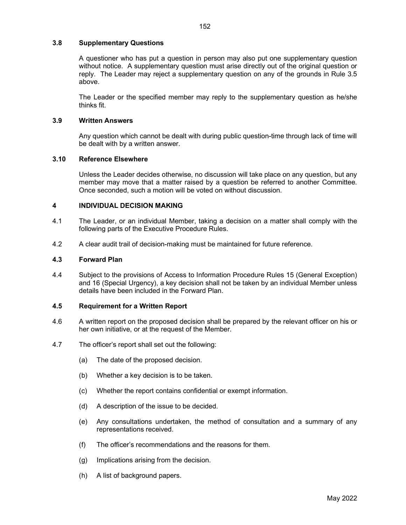## 3.8 Supplementary Questions

 A questioner who has put a question in person may also put one supplementary question without notice. A supplementary question must arise directly out of the original question or reply. The Leader may reject a supplementary question on any of the grounds in Rule 3.5 above.

 The Leader or the specified member may reply to the supplementary question as he/she thinks fit.

# 3.9 Written Answers

 Any question which cannot be dealt with during public question-time through lack of time will be dealt with by a written answer.

# 3.10 Reference Elsewhere

 Unless the Leader decides otherwise, no discussion will take place on any question, but any member may move that a matter raised by a question be referred to another Committee. Once seconded, such a motion will be voted on without discussion.

# 4 INDIVIDUAL DECISION MAKING

- 4.1 The Leader, or an individual Member, taking a decision on a matter shall comply with the following parts of the Executive Procedure Rules.
- 4.2 A clear audit trail of decision-making must be maintained for future reference.

#### 4.3 Forward Plan

4.4 Subject to the provisions of Access to Information Procedure Rules 15 (General Exception) and 16 (Special Urgency), a key decision shall not be taken by an individual Member unless details have been included in the Forward Plan.

# 4.5 Requirement for a Written Report

- 4.6 A written report on the proposed decision shall be prepared by the relevant officer on his or her own initiative, or at the request of the Member.
- 4.7 The officer's report shall set out the following:
	- (a) The date of the proposed decision.
	- (b) Whether a key decision is to be taken.
	- (c) Whether the report contains confidential or exempt information.
	- (d) A description of the issue to be decided.
	- (e) Any consultations undertaken, the method of consultation and a summary of any representations received.
	- (f) The officer's recommendations and the reasons for them.
	- (g) Implications arising from the decision.
	- (h) A list of background papers.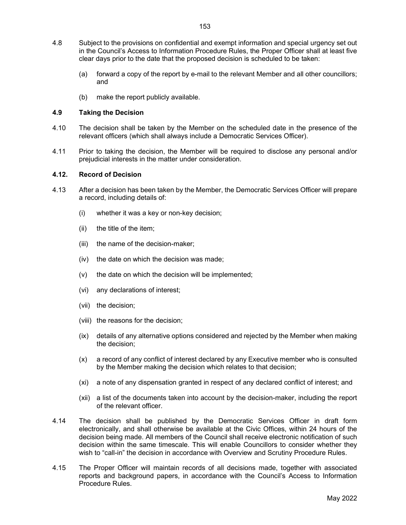- 4.8 Subject to the provisions on confidential and exempt information and special urgency set out in the Council's Access to Information Procedure Rules, the Proper Officer shall at least five clear days prior to the date that the proposed decision is scheduled to be taken:
	- (a) forward a copy of the report by e-mail to the relevant Member and all other councillors; and
	- (b) make the report publicly available.

## 4.9 Taking the Decision

- 4.10 The decision shall be taken by the Member on the scheduled date in the presence of the relevant officers (which shall always include a Democratic Services Officer).
- 4.11 Prior to taking the decision, the Member will be required to disclose any personal and/or prejudicial interests in the matter under consideration.

#### 4.12. Record of Decision

- 4.13 After a decision has been taken by the Member, the Democratic Services Officer will prepare a record, including details of:
	- (i) whether it was a key or non-key decision;
	- (ii) the title of the item;
	- (iii) the name of the decision-maker;
	- (iv) the date on which the decision was made;
	- (v) the date on which the decision will be implemented;
	- (vi) any declarations of interest;
	- (vii) the decision;
	- (viii) the reasons for the decision;
	- (ix) details of any alternative options considered and rejected by the Member when making the decision;
	- (x) a record of any conflict of interest declared by any Executive member who is consulted by the Member making the decision which relates to that decision;
	- (xi) a note of any dispensation granted in respect of any declared conflict of interest; and
	- (xii) a list of the documents taken into account by the decision-maker, including the report of the relevant officer.
- 4.14 The decision shall be published by the Democratic Services Officer in draft form electronically, and shall otherwise be available at the Civic Offices, within 24 hours of the decision being made. All members of the Council shall receive electronic notification of such decision within the same timescale. This will enable Councillors to consider whether they wish to "call-in" the decision in accordance with Overview and Scrutiny Procedure Rules.
- 4.15 The Proper Officer will maintain records of all decisions made, together with associated reports and background papers, in accordance with the Council's Access to Information Procedure Rules.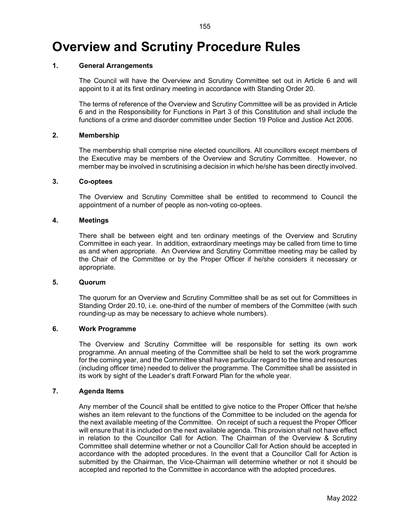# Overview and Scrutiny Procedure Rules

# 1. General Arrangements

 The Council will have the Overview and Scrutiny Committee set out in Article 6 and will appoint to it at its first ordinary meeting in accordance with Standing Order 20.

 The terms of reference of the Overview and Scrutiny Committee will be as provided in Article 6 and in the Responsibility for Functions in Part 3 of this Constitution and shall include the functions of a crime and disorder committee under Section 19 Police and Justice Act 2006.

#### 2. Membership

 The membership shall comprise nine elected councillors. All councillors except members of the Executive may be members of the Overview and Scrutiny Committee. However, no member may be involved in scrutinising a decision in which he/she has been directly involved.

#### 3. Co-optees

 The Overview and Scrutiny Committee shall be entitled to recommend to Council the appointment of a number of people as non-voting co-optees.

#### 4. Meetings

 There shall be between eight and ten ordinary meetings of the Overview and Scrutiny Committee in each year. In addition, extraordinary meetings may be called from time to time as and when appropriate. An Overview and Scrutiny Committee meeting may be called by the Chair of the Committee or by the Proper Officer if he/she considers it necessary or appropriate.

#### 5. Quorum

 The quorum for an Overview and Scrutiny Committee shall be as set out for Committees in Standing Order 20.10, i.e. one-third of the number of members of the Committee (with such rounding-up as may be necessary to achieve whole numbers).

#### 6. Work Programme

 The Overview and Scrutiny Committee will be responsible for setting its own work programme. An annual meeting of the Committee shall be held to set the work programme for the coming year, and the Committee shall have particular regard to the time and resources (including officer time) needed to deliver the programme. The Committee shall be assisted in its work by sight of the Leader's draft Forward Plan for the whole year.

# 7. Agenda Items

 Any member of the Council shall be entitled to give notice to the Proper Officer that he/she wishes an item relevant to the functions of the Committee to be included on the agenda for the next available meeting of the Committee. On receipt of such a request the Proper Officer will ensure that it is included on the next available agenda. This provision shall not have effect in relation to the Councillor Call for Action. The Chairman of the Overview & Scrutiny Committee shall determine whether or not a Councillor Call for Action should be accepted in accordance with the adopted procedures. In the event that a Councillor Call for Action is submitted by the Chairman, the Vice-Chairman will determine whether or not it should be accepted and reported to the Committee in accordance with the adopted procedures.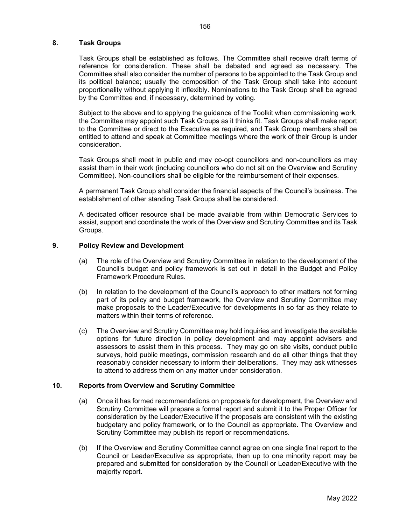## 8. Task Groups

 Task Groups shall be established as follows. The Committee shall receive draft terms of reference for consideration. These shall be debated and agreed as necessary. The Committee shall also consider the number of persons to be appointed to the Task Group and its political balance; usually the composition of the Task Group shall take into account proportionality without applying it inflexibly. Nominations to the Task Group shall be agreed by the Committee and, if necessary, determined by voting.

 Subject to the above and to applying the guidance of the Toolkit when commissioning work, the Committee may appoint such Task Groups as it thinks fit. Task Groups shall make report to the Committee or direct to the Executive as required, and Task Group members shall be entitled to attend and speak at Committee meetings where the work of their Group is under consideration.

 Task Groups shall meet in public and may co-opt councillors and non-councillors as may assist them in their work (including councillors who do not sit on the Overview and Scrutiny Committee). Non-councillors shall be eligible for the reimbursement of their expenses.

 A permanent Task Group shall consider the financial aspects of the Council's business. The establishment of other standing Task Groups shall be considered.

 A dedicated officer resource shall be made available from within Democratic Services to assist, support and coordinate the work of the Overview and Scrutiny Committee and its Task Groups.

#### 9. Policy Review and Development

- (a) The role of the Overview and Scrutiny Committee in relation to the development of the Council's budget and policy framework is set out in detail in the Budget and Policy Framework Procedure Rules.
- (b) In relation to the development of the Council's approach to other matters not forming part of its policy and budget framework, the Overview and Scrutiny Committee may make proposals to the Leader/Executive for developments in so far as they relate to matters within their terms of reference.
- (c) The Overview and Scrutiny Committee may hold inquiries and investigate the available options for future direction in policy development and may appoint advisers and assessors to assist them in this process. They may go on site visits, conduct public surveys, hold public meetings, commission research and do all other things that they reasonably consider necessary to inform their deliberations. They may ask witnesses to attend to address them on any matter under consideration.

#### 10. Reports from Overview and Scrutiny Committee

- (a) Once it has formed recommendations on proposals for development, the Overview and Scrutiny Committee will prepare a formal report and submit it to the Proper Officer for consideration by the Leader/Executive if the proposals are consistent with the existing budgetary and policy framework, or to the Council as appropriate. The Overview and Scrutiny Committee may publish its report or recommendations.
- (b) If the Overview and Scrutiny Committee cannot agree on one single final report to the Council or Leader/Executive as appropriate, then up to one minority report may be prepared and submitted for consideration by the Council or Leader/Executive with the majority report.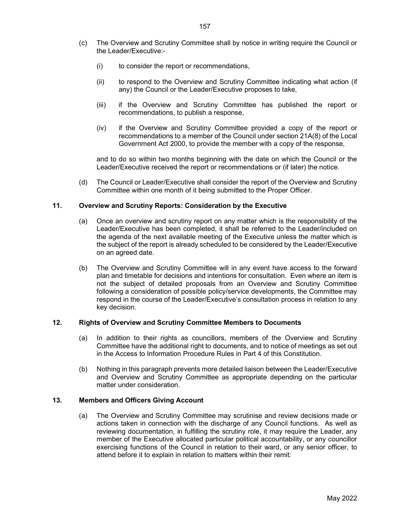- (c) The Overview and Scrutiny Committee shall by notice in writing require the Council or the Leader/Executive:-
	- (i) to consider the report or recommendations,
	- (ii) to respond to the Overview and Scrutiny Committee indicating what action (if any) the Council or the Leader/Executive proposes to take,
	- (iii) if the Overview and Scrutiny Committee has published the report or recommendations, to publish a response,
	- (iv) if the Overview and Scrutiny Committee provided a copy of the report or recommendations to a member of the Council under section 21A(8) of the Local Government Act 2000, to provide the member with a copy of the response,

 and to do so within two months beginning with the date on which the Council or the Leader/Executive received the report or recommendations or (if later) the notice.

(d) The Council or Leader/Executive shall consider the report of the Overview and Scrutiny Committee within one month of it being submitted to the Proper Officer.

# 11. Overview and Scrutiny Reports: Consideration by the Executive

- (a) Once an overview and scrutiny report on any matter which is the responsibility of the Leader/Executive has been completed, it shall be referred to the Leader/included on the agenda of the next available meeting of the Executive unless the matter which is the subject of the report is already scheduled to be considered by the Leader/Executive on an agreed date.
- (b) The Overview and Scrutiny Committee will in any event have access to the forward plan and timetable for decisions and intentions for consultation. Even where an item is not the subject of detailed proposals from an Overview and Scrutiny Committee following a consideration of possible policy/service developments, the Committee may respond in the course of the Leader/Executive's consultation process in relation to any key decision.

#### 12. Rights of Overview and Scrutiny Committee Members to Documents

- (a) In addition to their rights as councillors, members of the Overview and Scrutiny Committee have the additional right to documents, and to notice of meetings as set out in the Access to Information Procedure Rules in Part 4 of this Constitution.
- (b) Nothing in this paragraph prevents more detailed liaison between the Leader/Executive and Overview and Scrutiny Committee as appropriate depending on the particular matter under consideration.

#### 13. Members and Officers Giving Account

(a) The Overview and Scrutiny Committee may scrutinise and review decisions made or actions taken in connection with the discharge of any Council functions. As well as reviewing documentation, in fulfilling the scrutiny role, it may require the Leader, any member of the Executive allocated particular political accountability, or any councillor exercising functions of the Council in relation to their ward, or any senior officer, to attend before it to explain in relation to matters within their remit: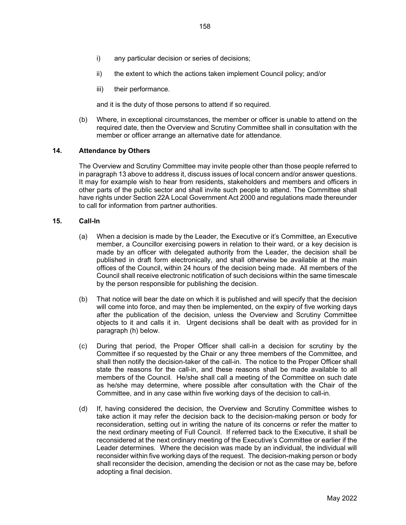- i) any particular decision or series of decisions;
- ii) the extent to which the actions taken implement Council policy; and/or
- iii) their performance.

and it is the duty of those persons to attend if so required.

(b) Where, in exceptional circumstances, the member or officer is unable to attend on the required date, then the Overview and Scrutiny Committee shall in consultation with the member or officer arrange an alternative date for attendance.

#### 14. Attendance by Others

 The Overview and Scrutiny Committee may invite people other than those people referred to in paragraph 13 above to address it, discuss issues of local concern and/or answer questions. It may for example wish to hear from residents, stakeholders and members and officers in other parts of the public sector and shall invite such people to attend. The Committee shall have rights under Section 22A Local Government Act 2000 and regulations made thereunder to call for information from partner authorities.

#### 15. Call-In

- (a) When a decision is made by the Leader, the Executive or it's Committee, an Executive member, a Councillor exercising powers in relation to their ward, or a key decision is made by an officer with delegated authority from the Leader, the decision shall be published in draft form electronically, and shall otherwise be available at the main offices of the Council, within 24 hours of the decision being made. All members of the Council shall receive electronic notification of such decisions within the same timescale by the person responsible for publishing the decision.
- (b) That notice will bear the date on which it is published and will specify that the decision will come into force, and may then be implemented, on the expiry of five working days after the publication of the decision, unless the Overview and Scrutiny Committee objects to it and calls it in. Urgent decisions shall be dealt with as provided for in paragraph (h) below.
- (c) During that period, the Proper Officer shall call-in a decision for scrutiny by the Committee if so requested by the Chair or any three members of the Committee, and shall then notify the decision-taker of the call-in. The notice to the Proper Officer shall state the reasons for the call-in, and these reasons shall be made available to all members of the Council. He/she shall call a meeting of the Committee on such date as he/she may determine, where possible after consultation with the Chair of the Committee, and in any case within five working days of the decision to call-in.
- (d) If, having considered the decision, the Overview and Scrutiny Committee wishes to take action it may refer the decision back to the decision-making person or body for reconsideration, setting out in writing the nature of its concerns or refer the matter to the next ordinary meeting of Full Council. If referred back to the Executive, it shall be reconsidered at the next ordinary meeting of the Executive's Committee or earlier if the Leader determines. Where the decision was made by an individual, the individual will reconsider within five working days of the request. The decision-making person or body shall reconsider the decision, amending the decision or not as the case may be, before adopting a final decision.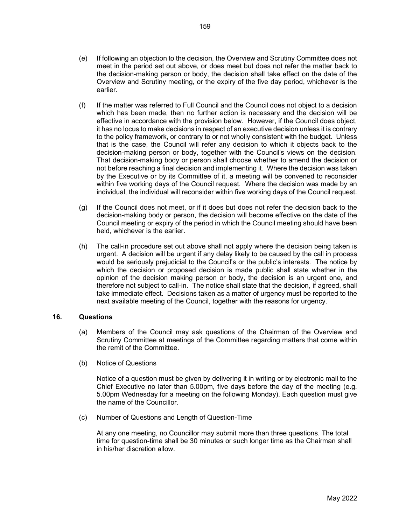- (e) If following an objection to the decision, the Overview and Scrutiny Committee does not meet in the period set out above, or does meet but does not refer the matter back to the decision-making person or body, the decision shall take effect on the date of the Overview and Scrutiny meeting, or the expiry of the five day period, whichever is the earlier.
- (f) If the matter was referred to Full Council and the Council does not object to a decision which has been made, then no further action is necessary and the decision will be effective in accordance with the provision below. However, if the Council does object, it has no locus to make decisions in respect of an executive decision unless it is contrary to the policy framework, or contrary to or not wholly consistent with the budget. Unless that is the case, the Council will refer any decision to which it objects back to the decision-making person or body, together with the Council's views on the decision. That decision-making body or person shall choose whether to amend the decision or not before reaching a final decision and implementing it. Where the decision was taken by the Executive or by its Committee of it, a meeting will be convened to reconsider within five working days of the Council request. Where the decision was made by an individual, the individual will reconsider within five working days of the Council request.
- (g) If the Council does not meet, or if it does but does not refer the decision back to the decision-making body or person, the decision will become effective on the date of the Council meeting or expiry of the period in which the Council meeting should have been held, whichever is the earlier.
- (h) The call-in procedure set out above shall not apply where the decision being taken is urgent. A decision will be urgent if any delay likely to be caused by the call in process would be seriously prejudicial to the Council's or the public's interests. The notice by which the decision or proposed decision is made public shall state whether in the opinion of the decision making person or body, the decision is an urgent one, and therefore not subject to call-in. The notice shall state that the decision, if agreed, shall take immediate effect. Decisions taken as a matter of urgency must be reported to the next available meeting of the Council, together with the reasons for urgency.

# 16. Questions

- (a) Members of the Council may ask questions of the Chairman of the Overview and Scrutiny Committee at meetings of the Committee regarding matters that come within the remit of the Committee.
- (b) Notice of Questions

Notice of a question must be given by delivering it in writing or by electronic mail to the Chief Executive no later than 5.00pm, five days before the day of the meeting (e.g. 5.00pm Wednesday for a meeting on the following Monday). Each question must give the name of the Councillor.

(c) Number of Questions and Length of Question-Time

At any one meeting, no Councillor may submit more than three questions. The total time for question-time shall be 30 minutes or such longer time as the Chairman shall in his/her discretion allow.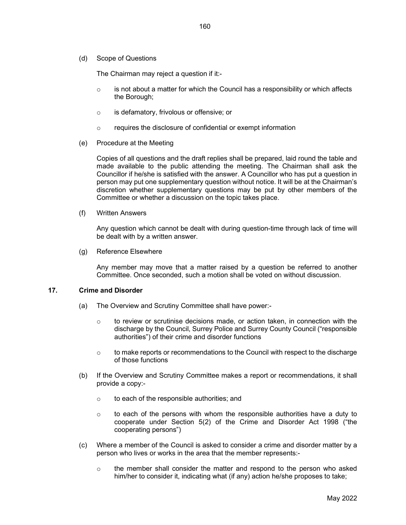(d) Scope of Questions

The Chairman may reject a question if it:-

- $\circ$  is not about a matter for which the Council has a responsibility or which affects the Borough;
- o is defamatory, frivolous or offensive; or
- o requires the disclosure of confidential or exempt information
- (e) Procedure at the Meeting

Copies of all questions and the draft replies shall be prepared, laid round the table and made available to the public attending the meeting. The Chairman shall ask the Councillor if he/she is satisfied with the answer. A Councillor who has put a question in person may put one supplementary question without notice. It will be at the Chairman's discretion whether supplementary questions may be put by other members of the Committee or whether a discussion on the topic takes place.

(f) Written Answers

Any question which cannot be dealt with during question-time through lack of time will be dealt with by a written answer.

(g) Reference Elsewhere

Any member may move that a matter raised by a question be referred to another Committee. Once seconded, such a motion shall be voted on without discussion.

#### 17. Crime and Disorder

- (a) The Overview and Scrutiny Committee shall have power:-
	- $\circ$  to review or scrutinise decisions made, or action taken, in connection with the discharge by the Council, Surrey Police and Surrey County Council ("responsible authorities") of their crime and disorder functions
	- $\circ$  to make reports or recommendations to the Council with respect to the discharge of those functions
- (b) If the Overview and Scrutiny Committee makes a report or recommendations, it shall provide a copy:
	- o to each of the responsible authorities; and
	- $\circ$  to each of the persons with whom the responsible authorities have a duty to cooperate under Section 5(2) of the Crime and Disorder Act 1998 ("the cooperating persons")
- (c) Where a member of the Council is asked to consider a crime and disorder matter by a person who lives or works in the area that the member represents:-
	- $\circ$  the member shall consider the matter and respond to the person who asked him/her to consider it, indicating what (if any) action he/she proposes to take;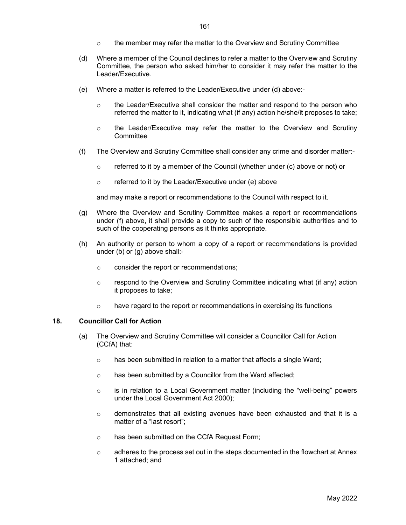- $\circ$  the member may refer the matter to the Overview and Scrutiny Committee
- (d) Where a member of the Council declines to refer a matter to the Overview and Scrutiny Committee, the person who asked him/her to consider it may refer the matter to the Leader/Executive.
- (e) Where a matter is referred to the Leader/Executive under (d) above:-
	- $\circ$  the Leader/Executive shall consider the matter and respond to the person who referred the matter to it, indicating what (if any) action he/she/it proposes to take;
	- $\circ$  the Leader/Executive may refer the matter to the Overview and Scrutiny **Committee**
- (f) The Overview and Scrutiny Committee shall consider any crime and disorder matter:-
	- $\circ$  referred to it by a member of the Council (whether under (c) above or not) or
	- o referred to it by the Leader/Executive under (e) above

and may make a report or recommendations to the Council with respect to it.

- (g) Where the Overview and Scrutiny Committee makes a report or recommendations under (f) above, it shall provide a copy to such of the responsible authorities and to such of the cooperating persons as it thinks appropriate.
- (h) An authority or person to whom a copy of a report or recommendations is provided under (b) or (g) above shall:
	- o consider the report or recommendations;
	- $\circ$  respond to the Overview and Scrutiny Committee indicating what (if any) action it proposes to take;
	- $\circ$  have regard to the report or recommendations in exercising its functions

#### 18. Councillor Call for Action

- (a) The Overview and Scrutiny Committee will consider a Councillor Call for Action (CCfA) that:
	- o has been submitted in relation to a matter that affects a single Ward;
	- o has been submitted by a Councillor from the Ward affected;
	- $\circ$  is in relation to a Local Government matter (including the "well-being" powers under the Local Government Act 2000);
	- $\circ$  demonstrates that all existing avenues have been exhausted and that it is a matter of a "last resort";
	- o has been submitted on the CCfA Request Form;
	- $\circ$  adheres to the process set out in the steps documented in the flowchart at Annex 1 attached; and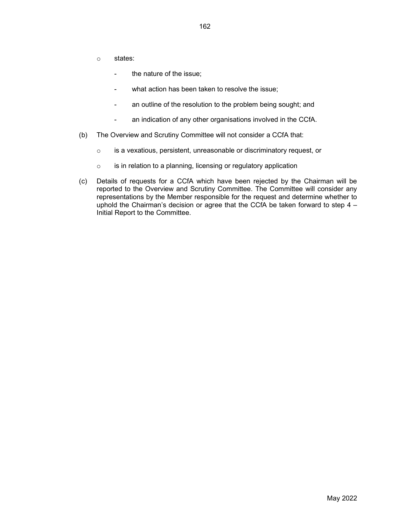- o states:
	- the nature of the issue;
	- what action has been taken to resolve the issue;
	- an outline of the resolution to the problem being sought; and
	- an indication of any other organisations involved in the CCfA.
- (b) The Overview and Scrutiny Committee will not consider a CCfA that:
	- o is a vexatious, persistent, unreasonable or discriminatory request, or
	- $\circ$  is in relation to a planning, licensing or regulatory application
- (c) Details of requests for a CCfA which have been rejected by the Chairman will be reported to the Overview and Scrutiny Committee. The Committee will consider any representations by the Member responsible for the request and determine whether to uphold the Chairman's decision or agree that the CCfA be taken forward to step 4 – Initial Report to the Committee.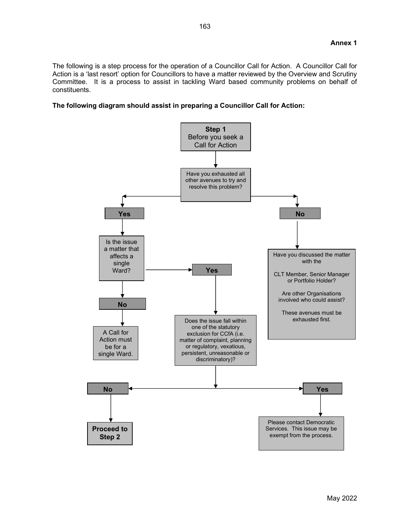The following is a step process for the operation of a Councillor Call for Action. A Councillor Call for Action is a 'last resort' option for Councillors to have a matter reviewed by the Overview and Scrutiny Committee. It is a process to assist in tackling Ward based community problems on behalf of constituents.

# The following diagram should assist in preparing a Councillor Call for Action:

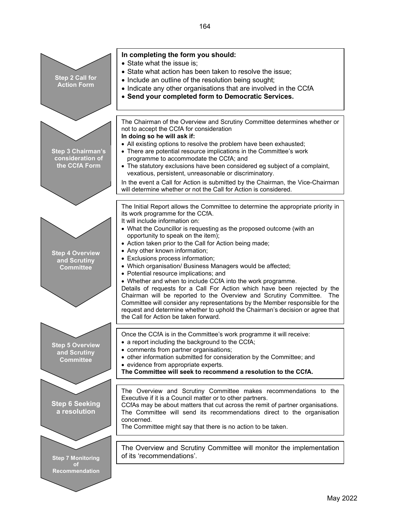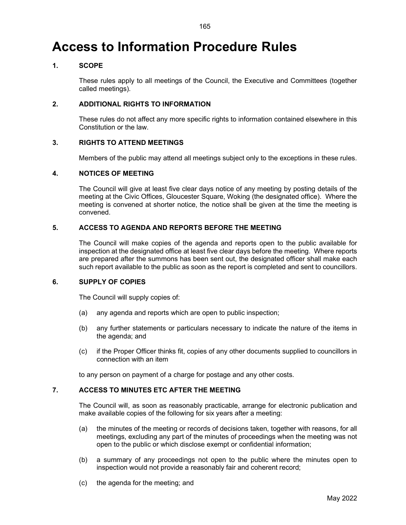# Access to Information Procedure Rules

# 1. SCOPE

 These rules apply to all meetings of the Council, the Executive and Committees (together called meetings).

# 2. ADDITIONAL RIGHTS TO INFORMATION

 These rules do not affect any more specific rights to information contained elsewhere in this Constitution or the law.

# 3. RIGHTS TO ATTEND MEETINGS

Members of the public may attend all meetings subject only to the exceptions in these rules.

#### 4. NOTICES OF MEETING

 The Council will give at least five clear days notice of any meeting by posting details of the meeting at the Civic Offices, Gloucester Square, Woking (the designated office). Where the meeting is convened at shorter notice, the notice shall be given at the time the meeting is convened.

# 5. ACCESS TO AGENDA AND REPORTS BEFORE THE MEETING

 The Council will make copies of the agenda and reports open to the public available for inspection at the designated office at least five clear days before the meeting. Where reports are prepared after the summons has been sent out, the designated officer shall make each such report available to the public as soon as the report is completed and sent to councillors.

# 6. SUPPLY OF COPIES

The Council will supply copies of:

- (a) any agenda and reports which are open to public inspection;
- (b) any further statements or particulars necessary to indicate the nature of the items in the agenda; and
- (c) if the Proper Officer thinks fit, copies of any other documents supplied to councillors in connection with an item

to any person on payment of a charge for postage and any other costs.

# 7. ACCESS TO MINUTES ETC AFTER THE MEETING

 The Council will, as soon as reasonably practicable, arrange for electronic publication and make available copies of the following for six years after a meeting:

- (a) the minutes of the meeting or records of decisions taken, together with reasons, for all meetings, excluding any part of the minutes of proceedings when the meeting was not open to the public or which disclose exempt or confidential information;
- (b) a summary of any proceedings not open to the public where the minutes open to inspection would not provide a reasonably fair and coherent record;
- (c) the agenda for the meeting; and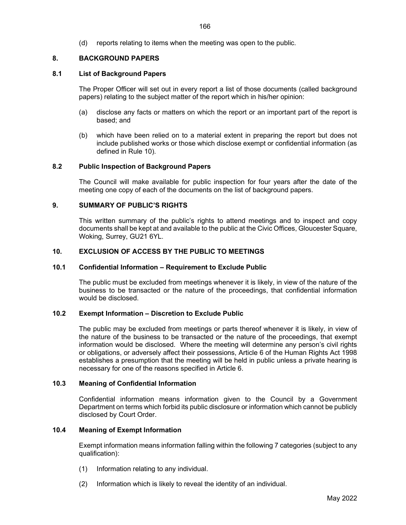(d) reports relating to items when the meeting was open to the public.

#### 8. BACKGROUND PAPERS

#### 8.1 List of Background Papers

The Proper Officer will set out in every report a list of those documents (called background papers) relating to the subject matter of the report which in his/her opinion:

- (a) disclose any facts or matters on which the report or an important part of the report is based; and
- (b) which have been relied on to a material extent in preparing the report but does not include published works or those which disclose exempt or confidential information (as defined in Rule 10).

#### 8.2 Public Inspection of Background Papers

The Council will make available for public inspection for four years after the date of the meeting one copy of each of the documents on the list of background papers.

# 9. SUMMARY OF PUBLIC'S RIGHTS

This written summary of the public's rights to attend meetings and to inspect and copy documents shall be kept at and available to the public at the Civic Offices, Gloucester Square, Woking, Surrey, GU21 6YL.

# 10. EXCLUSION OF ACCESS BY THE PUBLIC TO MEETINGS

#### 10.1 Confidential Information – Requirement to Exclude Public

The public must be excluded from meetings whenever it is likely, in view of the nature of the business to be transacted or the nature of the proceedings, that confidential information would be disclosed.

# 10.2 Exempt Information – Discretion to Exclude Public

The public may be excluded from meetings or parts thereof whenever it is likely, in view of the nature of the business to be transacted or the nature of the proceedings, that exempt information would be disclosed. Where the meeting will determine any person's civil rights or obligations, or adversely affect their possessions, Article 6 of the Human Rights Act 1998 establishes a presumption that the meeting will be held in public unless a private hearing is necessary for one of the reasons specified in Article 6.

#### 10.3 Meaning of Confidential Information

Confidential information means information given to the Council by a Government Department on terms which forbid its public disclosure or information which cannot be publicly disclosed by Court Order.

# 10.4 Meaning of Exempt Information

Exempt information means information falling within the following 7 categories (subject to any qualification):

- (1) Information relating to any individual.
- (2) Information which is likely to reveal the identity of an individual.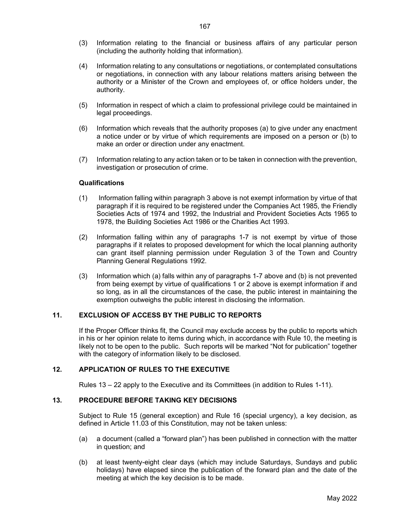- (3) Information relating to the financial or business affairs of any particular person (including the authority holding that information).
- (4) Information relating to any consultations or negotiations, or contemplated consultations or negotiations, in connection with any labour relations matters arising between the authority or a Minister of the Crown and employees of, or office holders under, the authority.
- (5) Information in respect of which a claim to professional privilege could be maintained in legal proceedings.
- (6) Information which reveals that the authority proposes (a) to give under any enactment a notice under or by virtue of which requirements are imposed on a person or (b) to make an order or direction under any enactment.
- (7) Information relating to any action taken or to be taken in connection with the prevention, investigation or prosecution of crime.

# **Qualifications**

- (1) Information falling within paragraph 3 above is not exempt information by virtue of that paragraph if it is required to be registered under the Companies Act 1985, the Friendly Societies Acts of 1974 and 1992, the Industrial and Provident Societies Acts 1965 to 1978, the Building Societies Act 1986 or the Charities Act 1993.
- (2) Information falling within any of paragraphs 1-7 is not exempt by virtue of those paragraphs if it relates to proposed development for which the local planning authority can grant itself planning permission under Regulation 3 of the Town and Country Planning General Regulations 1992.
- (3) Information which (a) falls within any of paragraphs 1-7 above and (b) is not prevented from being exempt by virtue of qualifications 1 or 2 above is exempt information if and so long, as in all the circumstances of the case, the public interest in maintaining the exemption outweighs the public interest in disclosing the information.

# 11. EXCLUSION OF ACCESS BY THE PUBLIC TO REPORTS

If the Proper Officer thinks fit, the Council may exclude access by the public to reports which in his or her opinion relate to items during which, in accordance with Rule 10, the meeting is likely not to be open to the public. Such reports will be marked "Not for publication" together with the category of information likely to be disclosed.

# 12. APPLICATION OF RULES TO THE EXECUTIVE

Rules 13 – 22 apply to the Executive and its Committees (in addition to Rules 1-11).

#### 13. PROCEDURE BEFORE TAKING KEY DECISIONS

Subject to Rule 15 (general exception) and Rule 16 (special urgency), a key decision, as defined in Article 11.03 of this Constitution, may not be taken unless:

- (a) a document (called a "forward plan") has been published in connection with the matter in question; and
- (b) at least twenty-eight clear days (which may include Saturdays, Sundays and public holidays) have elapsed since the publication of the forward plan and the date of the meeting at which the key decision is to be made.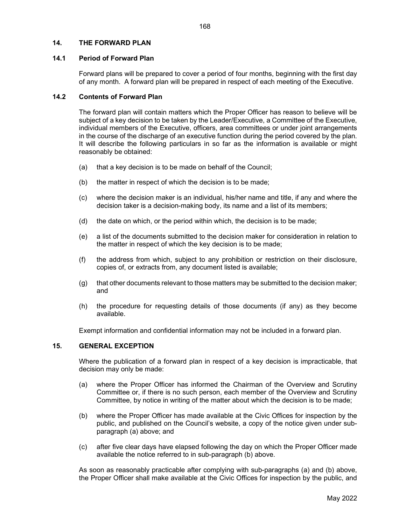#### 14. THE FORWARD PLAN

#### 14.1 Period of Forward Plan

Forward plans will be prepared to cover a period of four months, beginning with the first day of any month. A forward plan will be prepared in respect of each meeting of the Executive.

# 14.2 Contents of Forward Plan

The forward plan will contain matters which the Proper Officer has reason to believe will be subject of a key decision to be taken by the Leader/Executive, a Committee of the Executive, individual members of the Executive, officers, area committees or under joint arrangements in the course of the discharge of an executive function during the period covered by the plan. It will describe the following particulars in so far as the information is available or might reasonably be obtained:

- (a) that a key decision is to be made on behalf of the Council;
- (b) the matter in respect of which the decision is to be made;
- (c) where the decision maker is an individual, his/her name and title, if any and where the decision taker is a decision-making body, its name and a list of its members;
- (d) the date on which, or the period within which, the decision is to be made;
- (e) a list of the documents submitted to the decision maker for consideration in relation to the matter in respect of which the key decision is to be made;
- (f) the address from which, subject to any prohibition or restriction on their disclosure, copies of, or extracts from, any document listed is available;
- (g) that other documents relevant to those matters may be submitted to the decision maker; and
- (h) the procedure for requesting details of those documents (if any) as they become available.

Exempt information and confidential information may not be included in a forward plan.

#### 15. GENERAL EXCEPTION

 Where the publication of a forward plan in respect of a key decision is impracticable, that decision may only be made:

- (a) where the Proper Officer has informed the Chairman of the Overview and Scrutiny Committee or, if there is no such person, each member of the Overview and Scrutiny Committee, by notice in writing of the matter about which the decision is to be made;
- (b) where the Proper Officer has made available at the Civic Offices for inspection by the public, and published on the Council's website, a copy of the notice given under subparagraph (a) above; and
- (c) after five clear days have elapsed following the day on which the Proper Officer made available the notice referred to in sub-paragraph (b) above.

As soon as reasonably practicable after complying with sub-paragraphs (a) and (b) above, the Proper Officer shall make available at the Civic Offices for inspection by the public, and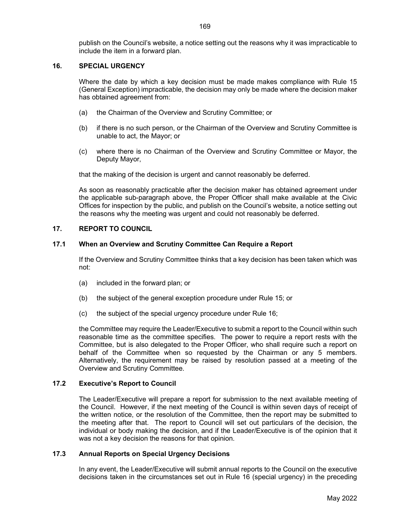publish on the Council's website, a notice setting out the reasons why it was impracticable to include the item in a forward plan.

# 16. SPECIAL URGENCY

Where the date by which a key decision must be made makes compliance with Rule 15 (General Exception) impracticable, the decision may only be made where the decision maker has obtained agreement from:

- (a) the Chairman of the Overview and Scrutiny Committee; or
- (b) if there is no such person, or the Chairman of the Overview and Scrutiny Committee is unable to act, the Mayor; or
- (c) where there is no Chairman of the Overview and Scrutiny Committee or Mayor, the Deputy Mayor,

that the making of the decision is urgent and cannot reasonably be deferred.

As soon as reasonably practicable after the decision maker has obtained agreement under the applicable sub-paragraph above, the Proper Officer shall make available at the Civic Offices for inspection by the public, and publish on the Council's website, a notice setting out the reasons why the meeting was urgent and could not reasonably be deferred.

# 17. REPORT TO COUNCIL

# 17.1 When an Overview and Scrutiny Committee Can Require a Report

If the Overview and Scrutiny Committee thinks that a key decision has been taken which was not:

- (a) included in the forward plan; or
- (b) the subject of the general exception procedure under Rule 15; or
- (c) the subject of the special urgency procedure under Rule 16;

the Committee may require the Leader/Executive to submit a report to the Council within such reasonable time as the committee specifies. The power to require a report rests with the Committee, but is also delegated to the Proper Officer, who shall require such a report on behalf of the Committee when so requested by the Chairman or any 5 members. Alternatively, the requirement may be raised by resolution passed at a meeting of the Overview and Scrutiny Committee.

# 17.2 Executive's Report to Council

The Leader/Executive will prepare a report for submission to the next available meeting of the Council. However, if the next meeting of the Council is within seven days of receipt of the written notice, or the resolution of the Committee, then the report may be submitted to the meeting after that. The report to Council will set out particulars of the decision, the individual or body making the decision, and if the Leader/Executive is of the opinion that it was not a key decision the reasons for that opinion.

# 17.3 Annual Reports on Special Urgency Decisions

 In any event, the Leader/Executive will submit annual reports to the Council on the executive decisions taken in the circumstances set out in Rule 16 (special urgency) in the preceding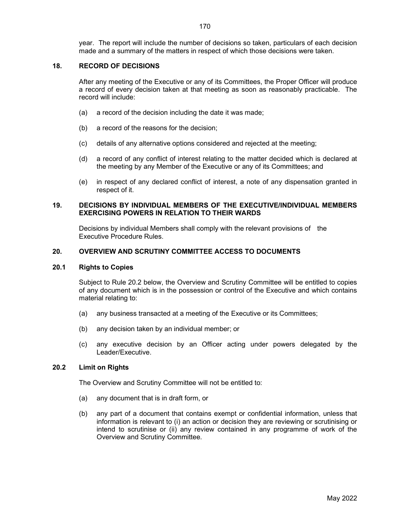year. The report will include the number of decisions so taken, particulars of each decision made and a summary of the matters in respect of which those decisions were taken.

# 18. RECORD OF DECISIONS

 After any meeting of the Executive or any of its Committees, the Proper Officer will produce a record of every decision taken at that meeting as soon as reasonably practicable. The record will include:

- (a) a record of the decision including the date it was made;
- (b) a record of the reasons for the decision;
- (c) details of any alternative options considered and rejected at the meeting;
- (d) a record of any conflict of interest relating to the matter decided which is declared at the meeting by any Member of the Executive or any of its Committees; and
- (e) in respect of any declared conflict of interest, a note of any dispensation granted in respect of it.

#### 19. DECISIONS BY INDIVIDUAL MEMBERS OF THE EXECUTIVE/INDIVIDUAL MEMBERS EXERCISING POWERS IN RELATION TO THEIR WARDS

 Decisions by individual Members shall comply with the relevant provisions of the Executive Procedure Rules.

# 20. OVERVIEW AND SCRUTINY COMMITTEE ACCESS TO DOCUMENTS

# 20.1 Rights to Copies

Subject to Rule 20.2 below, the Overview and Scrutiny Committee will be entitled to copies of any document which is in the possession or control of the Executive and which contains material relating to:

- (a) any business transacted at a meeting of the Executive or its Committees;
- (b) any decision taken by an individual member; or
- (c) any executive decision by an Officer acting under powers delegated by the Leader/Executive.

#### 20.2 Limit on Rights

The Overview and Scrutiny Committee will not be entitled to:

- (a) any document that is in draft form, or
- (b) any part of a document that contains exempt or confidential information, unless that information is relevant to (i) an action or decision they are reviewing or scrutinising or intend to scrutinise or (ii) any review contained in any programme of work of the Overview and Scrutiny Committee.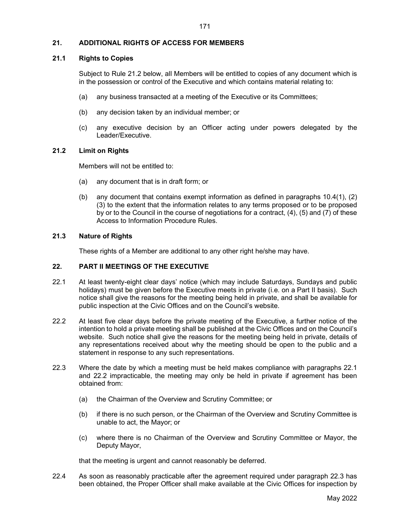# 21. ADDITIONAL RIGHTS OF ACCESS FOR MEMBERS

# 21.1 Rights to Copies

Subject to Rule 21.2 below, all Members will be entitled to copies of any document which is in the possession or control of the Executive and which contains material relating to:

- (a) any business transacted at a meeting of the Executive or its Committees;
- (b) any decision taken by an individual member; or
- (c) any executive decision by an Officer acting under powers delegated by the Leader/Executive.

# 21.2 Limit on Rights

Members will not be entitled to:

- (a) any document that is in draft form; or
- (b) any document that contains exempt information as defined in paragraphs 10.4(1), (2) (3) to the extent that the information relates to any terms proposed or to be proposed by or to the Council in the course of negotiations for a contract, (4), (5) and (7) of these Access to Information Procedure Rules.

# 21.3 Nature of Rights

These rights of a Member are additional to any other right he/she may have.

# 22. PART II MEETINGS OF THE EXECUTIVE

- 22.1 At least twenty-eight clear days' notice (which may include Saturdays, Sundays and public holidays) must be given before the Executive meets in private (i.e. on a Part II basis). Such notice shall give the reasons for the meeting being held in private, and shall be available for public inspection at the Civic Offices and on the Council's website.
- 22.2 At least five clear days before the private meeting of the Executive, a further notice of the intention to hold a private meeting shall be published at the Civic Offices and on the Council's website. Such notice shall give the reasons for the meeting being held in private, details of any representations received about why the meeting should be open to the public and a statement in response to any such representations.
- 22.3 Where the date by which a meeting must be held makes compliance with paragraphs 22.1 and 22.2 impracticable, the meeting may only be held in private if agreement has been obtained from:
	- (a) the Chairman of the Overview and Scrutiny Committee; or
	- (b) if there is no such person, or the Chairman of the Overview and Scrutiny Committee is unable to act, the Mayor; or
	- (c) where there is no Chairman of the Overview and Scrutiny Committee or Mayor, the Deputy Mayor,

that the meeting is urgent and cannot reasonably be deferred.

22.4 As soon as reasonably practicable after the agreement required under paragraph 22.3 has been obtained, the Proper Officer shall make available at the Civic Offices for inspection by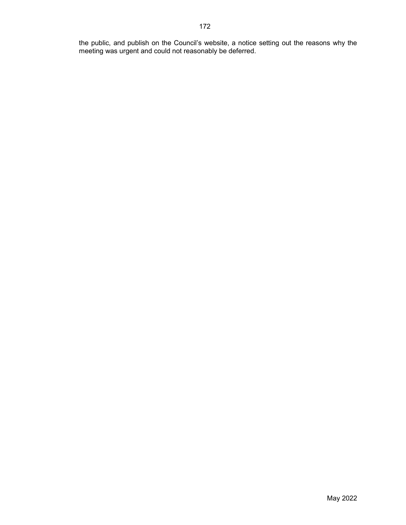the public, and publish on the Council's website, a notice setting out the reasons why the meeting was urgent and could not reasonably be deferred.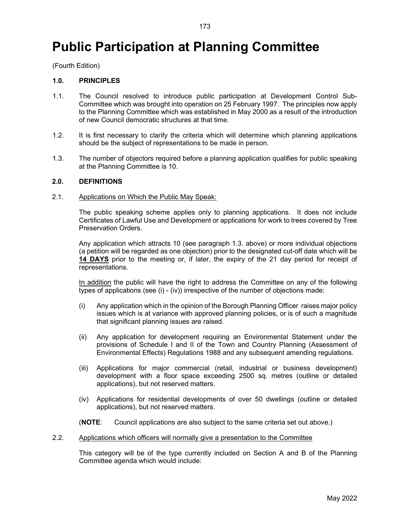# Public Participation at Planning Committee

(Fourth Edition)

# 1.0. PRINCIPLES

- 1.1. The Council resolved to introduce public participation at Development Control Sub-Committee which was brought into operation on 25 February 1997. The principles now apply to the Planning Committee which was established in May 2000 as a result of the introduction of new Council democratic structures at that time.
- 1.2. It is first necessary to clarify the criteria which will determine which planning applications should be the subject of representations to be made in person.
- 1.3. The number of objectors required before a planning application qualifies for public speaking at the Planning Committee is 10.

#### 2.0. DEFINITIONS

#### 2.1. Applications on Which the Public May Speak:

The public speaking scheme applies only to planning applications. It does not include Certificates of Lawful Use and Development or applications for work to trees covered by Tree Preservation Orders.

Any application which attracts 10 (see paragraph 1.3. above) or more individual objections (a petition will be regarded as one objection) prior to the designated cut-off date which will be 14 DAYS prior to the meeting or, if later, the expiry of the 21 day period for receipt of representations.

In addition the public will have the right to address the Committee on any of the following types of applications (see (i) - (iv)) irrespective of the number of objections made:

- (i) Any application which in the opinion of the Borough Planning Officer raises major policy issues which is at variance with approved planning policies, or is of such a magnitude that significant planning issues are raised.
- (ii) Any application for development requiring an Environmental Statement under the provisions of Schedule I and II of the Town and Country Planning (Assessment of Environmental Effects) Regulations 1988 and any subsequent amending regulations.
- (iii) Applications for major commercial (retail, industrial or business development) development with a floor space exceeding 2500 sq. metres (outline or detailed applications), but not reserved matters.
- (iv) Applications for residential developments of over 50 dwellings (outline or detailed applications), but not reserved matters.
- (NOTE: Council applications are also subject to the same criteria set out above.)
- 2.2. Applications which officers will normally give a presentation to the Committee

 This category will be of the type currently included on Section A and B of the Planning Committee agenda which would include: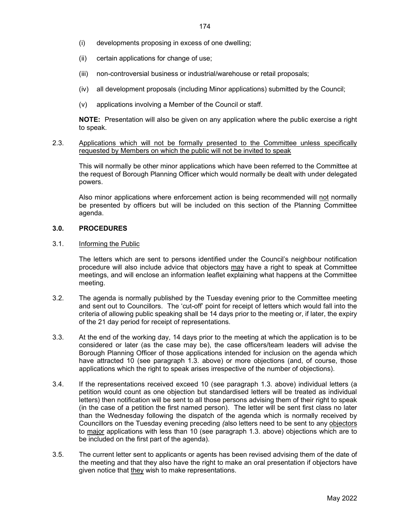- (i) developments proposing in excess of one dwelling;
- (ii) certain applications for change of use;
- (iii) non-controversial business or industrial/warehouse or retail proposals;
- (iv) all development proposals (including Minor applications) submitted by the Council;
- (v) applications involving a Member of the Council or staff.

NOTE: Presentation will also be given on any application where the public exercise a right to speak.

2.3. Applications which will not be formally presented to the Committee unless specifically requested by Members on which the public will not be invited to speak

 This will normally be other minor applications which have been referred to the Committee at the request of Borough Planning Officer which would normally be dealt with under delegated powers.

 Also minor applications where enforcement action is being recommended will not normally be presented by officers but will be included on this section of the Planning Committee agenda.

#### 3.0. PROCEDURES

#### 3.1. Informing the Public

 The letters which are sent to persons identified under the Council's neighbour notification procedure will also include advice that objectors may have a right to speak at Committee meetings, and will enclose an information leaflet explaining what happens at the Committee meeting.

- 3.2. The agenda is normally published by the Tuesday evening prior to the Committee meeting and sent out to Councillors. The 'cut-off' point for receipt of letters which would fall into the criteria of allowing public speaking shall be 14 days prior to the meeting or, if later, the expiry of the 21 day period for receipt of representations.
- 3.3. At the end of the working day, 14 days prior to the meeting at which the application is to be considered or later (as the case may be), the case officers/team leaders will advise the Borough Planning Officer of those applications intended for inclusion on the agenda which have attracted 10 (see paragraph 1.3. above) or more objections (and, of course, those applications which the right to speak arises irrespective of the number of objections).
- 3.4. If the representations received exceed 10 (see paragraph 1.3. above) individual letters (a petition would count as one objection but standardised letters will be treated as individual letters) then notification will be sent to all those persons advising them of their right to speak (in the case of a petition the first named person). The letter will be sent first class no later than the Wednesday following the dispatch of the agenda which is normally received by Councillors on the Tuesday evening preceding (also letters need to be sent to any objectors to major applications with less than 10 (see paragraph 1.3. above) objections which are to be included on the first part of the agenda).
- 3.5. The current letter sent to applicants or agents has been revised advising them of the date of the meeting and that they also have the right to make an oral presentation if objectors have given notice that they wish to make representations.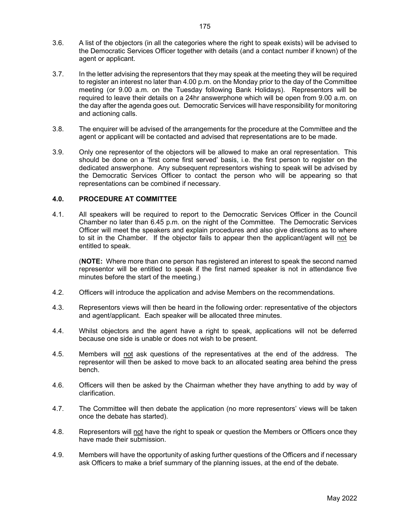- 3.6. A list of the objectors (in all the categories where the right to speak exists) will be advised to the Democratic Services Officer together with details (and a contact number if known) of the agent or applicant.
- 3.7. In the letter advising the representors that they may speak at the meeting they will be required to register an interest no later than 4.00 p.m. on the Monday prior to the day of the Committee meeting (or 9.00 a.m. on the Tuesday following Bank Holidays). Representors will be required to leave their details on a 24hr answerphone which will be open from 9.00 a.m. on the day after the agenda goes out. Democratic Services will have responsibility for monitoring and actioning calls.
- 3.8. The enquirer will be advised of the arrangements for the procedure at the Committee and the agent or applicant will be contacted and advised that representations are to be made.
- 3.9. Only one representor of the objectors will be allowed to make an oral representation. This should be done on a 'first come first served' basis, i.e. the first person to register on the dedicated answerphone. Any subsequent representors wishing to speak will be advised by the Democratic Services Officer to contact the person who will be appearing so that representations can be combined if necessary.

# 4.0. PROCEDURE AT COMMITTEE

4.1. All speakers will be required to report to the Democratic Services Officer in the Council Chamber no later than 6.45 p.m. on the night of the Committee. The Democratic Services Officer will meet the speakers and explain procedures and also give directions as to where to sit in the Chamber. If the objector fails to appear then the applicant/agent will not be entitled to speak.

 (NOTE: Where more than one person has registered an interest to speak the second named representor will be entitled to speak if the first named speaker is not in attendance five minutes before the start of the meeting.)

- 4.2. Officers will introduce the application and advise Members on the recommendations.
- 4.3. Representors views will then be heard in the following order: representative of the objectors and agent/applicant. Each speaker will be allocated three minutes.
- 4.4. Whilst objectors and the agent have a right to speak, applications will not be deferred because one side is unable or does not wish to be present.
- 4.5. Members will not ask questions of the representatives at the end of the address. The representor will then be asked to move back to an allocated seating area behind the press bench.
- 4.6. Officers will then be asked by the Chairman whether they have anything to add by way of clarification.
- 4.7. The Committee will then debate the application (no more representors' views will be taken once the debate has started).
- 4.8. Representors will not have the right to speak or question the Members or Officers once they have made their submission.
- 4.9. Members will have the opportunity of asking further questions of the Officers and if necessary ask Officers to make a brief summary of the planning issues, at the end of the debate.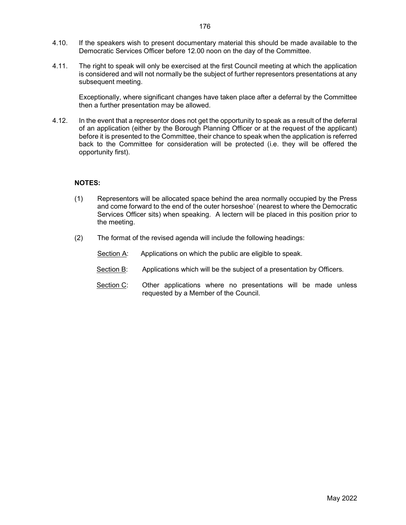- 4.10. If the speakers wish to present documentary material this should be made available to the Democratic Services Officer before 12.00 noon on the day of the Committee.
- 4.11. The right to speak will only be exercised at the first Council meeting at which the application is considered and will not normally be the subject of further representors presentations at any subsequent meeting.

 Exceptionally, where significant changes have taken place after a deferral by the Committee then a further presentation may be allowed.

4.12. In the event that a representor does not get the opportunity to speak as a result of the deferral of an application (either by the Borough Planning Officer or at the request of the applicant) before it is presented to the Committee, their chance to speak when the application is referred back to the Committee for consideration will be protected (i.e. they will be offered the opportunity first).

# NOTES:

- (1) Representors will be allocated space behind the area normally occupied by the Press and come forward to the end of the outer horseshoe' (nearest to where the Democratic Services Officer sits) when speaking. A lectern will be placed in this position prior to the meeting.
- (2) The format of the revised agenda will include the following headings:
	- Section A: Applications on which the public are eligible to speak.
	- Section B: Applications which will be the subject of a presentation by Officers.
	- Section C: Other applications where no presentations will be made unless requested by a Member of the Council.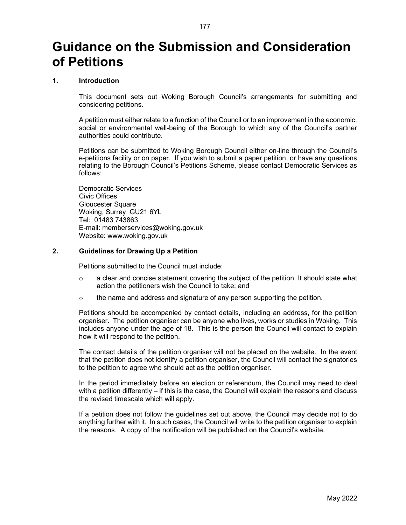# Guidance on the Submission and Consideration of Petitions

## 1. Introduction

This document sets out Woking Borough Council's arrangements for submitting and considering petitions.

A petition must either relate to a function of the Council or to an improvement in the economic, social or environmental well-being of the Borough to which any of the Council's partner authorities could contribute.

Petitions can be submitted to Woking Borough Council either on-line through the Council's e-petitions facility or on paper. If you wish to submit a paper petition, or have any questions relating to the Borough Council's Petitions Scheme, please contact Democratic Services as follows:

 Democratic Services Civic Offices Gloucester Square Woking, Surrey GU21 6YL Tel: 01483 743863 E-mail: memberservices@woking.gov.uk Website: www.woking.gov.uk

#### 2. Guidelines for Drawing Up a Petition

Petitions submitted to the Council must include:

- $\circ$  a clear and concise statement covering the subject of the petition. It should state what action the petitioners wish the Council to take; and
- $\circ$  the name and address and signature of any person supporting the petition.

 Petitions should be accompanied by contact details, including an address, for the petition organiser. The petition organiser can be anyone who lives, works or studies in Woking. This includes anyone under the age of 18. This is the person the Council will contact to explain how it will respond to the petition.

 The contact details of the petition organiser will not be placed on the website. In the event that the petition does not identify a petition organiser, the Council will contact the signatories to the petition to agree who should act as the petition organiser.

 In the period immediately before an election or referendum, the Council may need to deal with a petition differently – if this is the case, the Council will explain the reasons and discuss the revised timescale which will apply.

 If a petition does not follow the guidelines set out above, the Council may decide not to do anything further with it. In such cases, the Council will write to the petition organiser to explain the reasons. A copy of the notification will be published on the Council's website.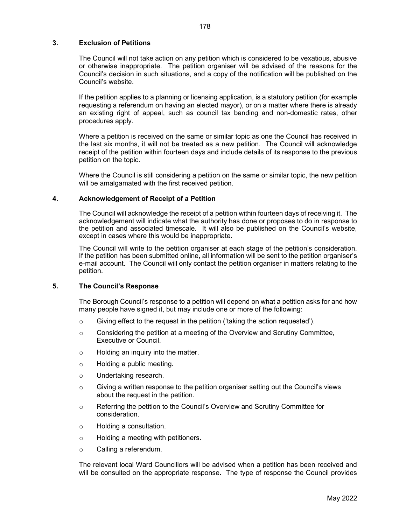# 3. Exclusion of Petitions

 The Council will not take action on any petition which is considered to be vexatious, abusive or otherwise inappropriate. The petition organiser will be advised of the reasons for the Council's decision in such situations, and a copy of the notification will be published on the Council's website.

 If the petition applies to a planning or licensing application, is a statutory petition (for example requesting a referendum on having an elected mayor), or on a matter where there is already an existing right of appeal, such as council tax banding and non-domestic rates, other procedures apply.

 Where a petition is received on the same or similar topic as one the Council has received in the last six months, it will not be treated as a new petition. The Council will acknowledge receipt of the petition within fourteen days and include details of its response to the previous petition on the topic.

 Where the Council is still considering a petition on the same or similar topic, the new petition will be amalgamated with the first received petition.

# 4. Acknowledgement of Receipt of a Petition

The Council will acknowledge the receipt of a petition within fourteen days of receiving it. The acknowledgement will indicate what the authority has done or proposes to do in response to the petition and associated timescale. It will also be published on the Council's website, except in cases where this would be inappropriate.

The Council will write to the petition organiser at each stage of the petition's consideration. If the petition has been submitted online, all information will be sent to the petition organiser's e-mail account. The Council will only contact the petition organiser in matters relating to the petition.

#### 5. The Council's Response

 The Borough Council's response to a petition will depend on what a petition asks for and how many people have signed it, but may include one or more of the following:

- $\circ$  Giving effect to the request in the petition ('taking the action requested').
- $\circ$  Considering the petition at a meeting of the Overview and Scrutiny Committee, Executive or Council.
- o Holding an inquiry into the matter.
- o Holding a public meeting.
- o Undertaking research.
- $\circ$  Giving a written response to the petition organiser setting out the Council's views about the request in the petition.
- o Referring the petition to the Council's Overview and Scrutiny Committee for consideration.
- o Holding a consultation.
- o Holding a meeting with petitioners.
- o Calling a referendum.

 The relevant local Ward Councillors will be advised when a petition has been received and will be consulted on the appropriate response. The type of response the Council provides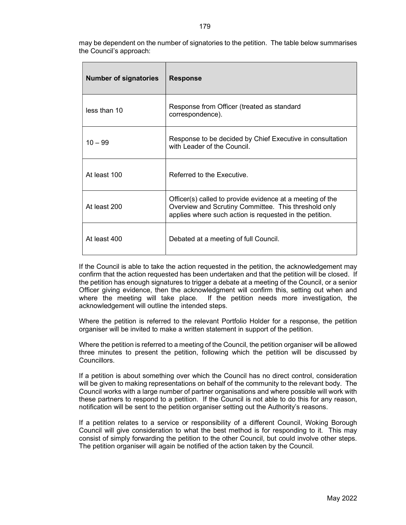may be dependent on the number of signatories to the petition. The table below summarises the Council's approach:

| <b>Number of signatories</b> | <b>Response</b>                                                                                                                                                              |
|------------------------------|------------------------------------------------------------------------------------------------------------------------------------------------------------------------------|
| less than 10                 | Response from Officer (treated as standard<br>correspondence).                                                                                                               |
| $10 - 99$                    | Response to be decided by Chief Executive in consultation<br>with Leader of the Council.                                                                                     |
| At least 100                 | Referred to the Executive                                                                                                                                                    |
| At least 200                 | Officer(s) called to provide evidence at a meeting of the<br>Overview and Scrutiny Committee. This threshold only<br>applies where such action is requested in the petition. |
| At least 400                 | Debated at a meeting of full Council.                                                                                                                                        |

 If the Council is able to take the action requested in the petition, the acknowledgement may confirm that the action requested has been undertaken and that the petition will be closed. If the petition has enough signatures to trigger a debate at a meeting of the Council, or a senior Officer giving evidence, then the acknowledgment will confirm this, setting out when and where the meeting will take place. If the petition needs more investigation, the acknowledgement will outline the intended steps.

 Where the petition is referred to the relevant Portfolio Holder for a response, the petition organiser will be invited to make a written statement in support of the petition.

 Where the petition is referred to a meeting of the Council, the petition organiser will be allowed three minutes to present the petition, following which the petition will be discussed by Councillors.

 If a petition is about something over which the Council has no direct control, consideration will be given to making representations on behalf of the community to the relevant body. The Council works with a large number of partner organisations and where possible will work with these partners to respond to a petition. If the Council is not able to do this for any reason, notification will be sent to the petition organiser setting out the Authority's reasons.

 If a petition relates to a service or responsibility of a different Council, Woking Borough Council will give consideration to what the best method is for responding to it. This may consist of simply forwarding the petition to the other Council, but could involve other steps. The petition organiser will again be notified of the action taken by the Council.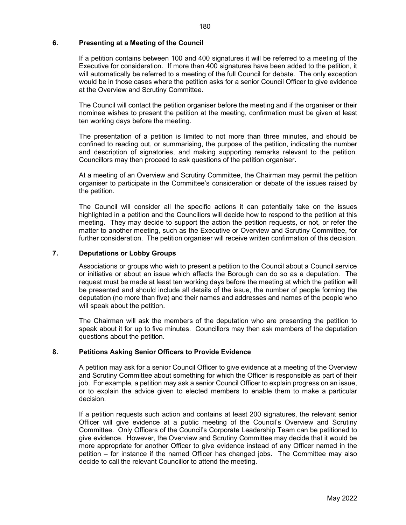# 6. Presenting at a Meeting of the Council

 If a petition contains between 100 and 400 signatures it will be referred to a meeting of the Executive for consideration. If more than 400 signatures have been added to the petition, it will automatically be referred to a meeting of the full Council for debate. The only exception would be in those cases where the petition asks for a senior Council Officer to give evidence at the Overview and Scrutiny Committee.

 The Council will contact the petition organiser before the meeting and if the organiser or their nominee wishes to present the petition at the meeting, confirmation must be given at least ten working days before the meeting.

 The presentation of a petition is limited to not more than three minutes, and should be confined to reading out, or summarising, the purpose of the petition, indicating the number and description of signatories, and making supporting remarks relevant to the petition. Councillors may then proceed to ask questions of the petition organiser.

 At a meeting of an Overview and Scrutiny Committee, the Chairman may permit the petition organiser to participate in the Committee's consideration or debate of the issues raised by the petition.

 The Council will consider all the specific actions it can potentially take on the issues highlighted in a petition and the Councillors will decide how to respond to the petition at this meeting. They may decide to support the action the petition requests, or not, or refer the matter to another meeting, such as the Executive or Overview and Scrutiny Committee, for further consideration. The petition organiser will receive written confirmation of this decision.

# 7. Deputations or Lobby Groups

 Associations or groups who wish to present a petition to the Council about a Council service or initiative or about an issue which affects the Borough can do so as a deputation. The request must be made at least ten working days before the meeting at which the petition will be presented and should include all details of the issue, the number of people forming the deputation (no more than five) and their names and addresses and names of the people who will speak about the petition.

 The Chairman will ask the members of the deputation who are presenting the petition to speak about it for up to five minutes. Councillors may then ask members of the deputation questions about the petition.

# 8. Petitions Asking Senior Officers to Provide Evidence

 A petition may ask for a senior Council Officer to give evidence at a meeting of the Overview and Scrutiny Committee about something for which the Officer is responsible as part of their job. For example, a petition may ask a senior Council Officer to explain progress on an issue, or to explain the advice given to elected members to enable them to make a particular decision.

 If a petition requests such action and contains at least 200 signatures, the relevant senior Officer will give evidence at a public meeting of the Council's Overview and Scrutiny Committee. Only Officers of the Council's Corporate Leadership Team can be petitioned to give evidence. However, the Overview and Scrutiny Committee may decide that it would be more appropriate for another Officer to give evidence instead of any Officer named in the petition – for instance if the named Officer has changed jobs. The Committee may also decide to call the relevant Councillor to attend the meeting.